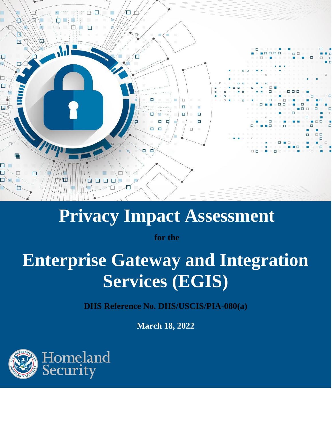

# **Privacy Impact Assessment**

**for the**

# **Enterprise Gateway and Integration Services (EGIS)**

**DHS Reference No. DHS/USCIS/PIA-080(a)**

**March 18, 2022**

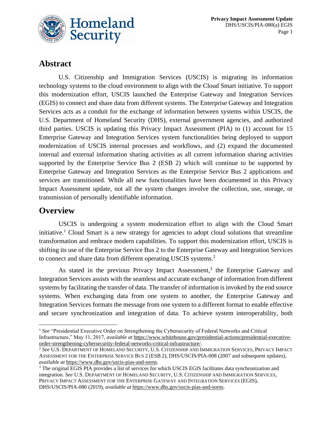

# **Abstract**

U.S. Citizenship and Immigration Services (USCIS) is migrating its information technology systems to the cloud environment to align with the Cloud Smart initiative. To support this modernization effort, USCIS launched the Enterprise Gateway and Integration Services (EGIS) to connect and share data from different systems. The Enterprise Gateway and Integration Services acts as a conduit for the exchange of information between systems within USCIS, the U.S. Department of Homeland Security (DHS), external government agencies, and authorized third parties. USCIS is updating this Privacy Impact Assessment (PIA) to (1) account for 15 Enterprise Gateway and Integration Services system functionalities being deployed to support modernization of USCIS internal processes and workflows, and (2) expand the documented internal and external information sharing activities as all current information sharing activities supported by the Enterprise Service Bus 2 (ESB 2) which will continue to be supported by Enterprise Gateway and Integration Services as the Enterprise Service Bus 2 applications and services are transitioned. While all new functionalities have been documented in this Privacy Impact Assessment update, not all the system changes involve the collection, use, storage, or transmission of personally identifiable information.

# **Overview**

USCIS is undergoing a system modernization effort to align with the Cloud Smart initiative.<sup>1</sup> Cloud Smart is a new strategy for agencies to adopt cloud solutions that streamline transformation and embrace modern capabilities. To support this modernization effort, USCIS is shifting its use of the Enterprise Service Bus 2 to the Enterprise Gateway and Integration Services to connect and share data from different operating USCIS systems.<sup>2</sup>

As stated in the previous Privacy Impact Assessment,<sup>3</sup> the Enterprise Gateway and Integration Services assists with the seamless and accurate exchange of information from different systems by facilitating the transfer of data. The transfer of information is invoked by the end source systems. When exchanging data from one system to another, the Enterprise Gateway and Integration Services formats the message from one system to a different format to enable effective and secure synchronization and integration of data. To achieve system interoperability, both

<sup>&</sup>lt;sup>1</sup> See "Presidential Executive Order on Strengthening the Cybersecurity of Federal Networks and Critical Infrastructure," May 11, 2017, *available at* [https://www.whitehouse.gov/presidential-actions/presidential-executive](https://www.whitehouse.gov/presidential-actions/presidential-executive-order-strengthening-cybersecurity-federal-networks-critical-infrastructure/)[order-strengthening-cybersecurity-federal-networks-critical-infrastructure/.](https://www.whitehouse.gov/presidential-actions/presidential-executive-order-strengthening-cybersecurity-federal-networks-critical-infrastructure/)

<sup>2</sup> *See* U.S. DEPARTMENT OF HOMELAND SECURITY, U.S. CITIZENSHIP AND IMMIGRATION SERVICES, PRIVACY IMPACT ASSESSMENT FOR THE ENTERPRISE SERVICE BUS 2 (ESB 2), DHS/USCIS/PIA-008 (2007 and subsequent updates), *available at* [https://www.dhs.gov/uscis-pias-and-sorns.](https://www.dhs.gov/uscis-pias-and-sorns)

<sup>&</sup>lt;sup>3</sup> The original EGIS PIA provides a list of services for which USCIS EGIS facilitates data synchronization and integration. *See* U.S. DEPARTMENT OF HOMELAND SECURITY, U.S. CITIZENSHIP AND IMMIGRATION SERVICES, PRIVACY IMPACT ASSESSMENT FOR THE ENTERPRISE GATEWAY AND INTEGRATION SERVICES (EGIS), DHS/USCIS/PIA-080 (2019), *available at* [https://www.dhs.gov/uscis-pias-and-sorns.](https://www.dhs.gov/uscis-pias-and-sorns)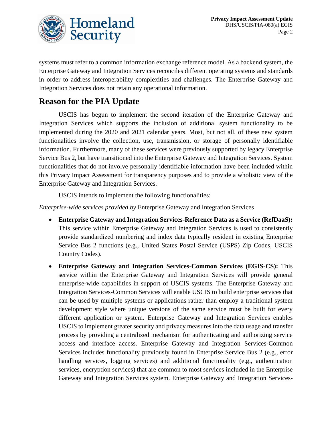

systems must refer to a common information exchange reference model. As a backend system, the Enterprise Gateway and Integration Services reconciles different operating systems and standards in order to address interoperability complexities and challenges. The Enterprise Gateway and Integration Services does not retain any operational information.

# **Reason for the PIA Update**

USCIS has begun to implement the second iteration of the Enterprise Gateway and Integration Services which supports the inclusion of additional system functionality to be implemented during the 2020 and 2021 calendar years. Most, but not all, of these new system functionalities involve the collection, use, transmission, or storage of personally identifiable information. Furthermore, many of these services were previously supported by legacy Enterprise Service Bus 2, but have transitioned into the Enterprise Gateway and Integration Services. System functionalities that do not involve personally identifiable information have been included within this Privacy Impact Assessment for transparency purposes and to provide a wholistic view of the Enterprise Gateway and Integration Services.

USCIS intends to implement the following functionalities:

*Enterprise-wide services provided by* Enterprise Gateway and Integration Services

- **Enterprise Gateway and Integration Services-Reference Data as a Service (RefDaaS):** This service within Enterprise Gateway and Integration Services is used to consistently provide standardized numbering and index data typically resident in existing Enterprise Service Bus 2 functions (e.g., United States Postal Service (USPS) Zip Codes, USCIS Country Codes).
- **Enterprise Gateway and Integration Services-Common Services (EGIS-CS):** This service within the Enterprise Gateway and Integration Services will provide general enterprise-wide capabilities in support of USCIS systems. The Enterprise Gateway and Integration Services-Common Services will enable USCIS to build enterprise services that can be used by multiple systems or applications rather than employ a traditional system development style where unique versions of the same service must be built for every different application or system. Enterprise Gateway and Integration Services enables USCIS to implement greater security and privacy measures into the data usage and transfer process by providing a centralized mechanism for authenticating and authorizing service access and interface access. Enterprise Gateway and Integration Services-Common Services includes functionality previously found in Enterprise Service Bus 2 (e.g., error handling services, logging services) and additional functionality (e.g., authentication services, encryption services) that are common to most services included in the Enterprise Gateway and Integration Services system. Enterprise Gateway and Integration Services-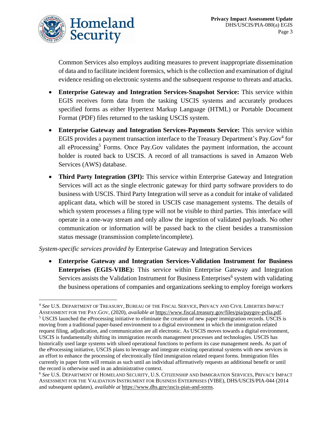

Common Services also employs auditing measures to prevent inappropriate dissemination of data and to facilitate incident forensics, which is the collection and examination of digital evidence residing on electronic systems and the subsequent response to threats and attacks.

- **Enterprise Gateway and Integration Services-Snapshot Service:** This service within EGIS receives form data from the tasking USCIS systems and accurately produces specified forms as either Hypertext Markup Language (HTML) or Portable Document Format (PDF) files returned to the tasking USCIS system.
- **Enterprise Gateway and Integration Services-Payments Service:** This service within EGIS provides a payment transaction interface to the Treasury Department's Pay.Gov<sup>4</sup> for all eProcessing<sup>5</sup> Forms. Once Pay.Gov validates the payment information, the account holder is routed back to USCIS. A record of all transactions is saved in Amazon Web Services (AWS) database.
- **Third Party Integration (3PI):** This service within Enterprise Gateway and Integration Services will act as the single electronic gateway for third party software providers to do business with USCIS. Third Party Integration will serve as a conduit for intake of validated applicant data, which will be stored in USCIS case management systems. The details of which system processes a filing type will not be visible to third parties. This interface will operate in a one-way stream and only allow the ingestion of validated payloads. No other communication or information will be passed back to the client besides a transmission status message (transmission complete/incomplete).

*System-specific services provided by* Enterprise Gateway and Integration Services

• **Enterprise Gateway and Integration Services-Validation Instrument for Business Enterprises (EGIS-VIBE):** This service within Enterprise Gateway and Integration Services assists the Validation Instrument for Business Enterprises<sup>6</sup> system with validating the business operations of companies and organizations seeking to employ foreign workers

<sup>4</sup> *See* U.S. DEPARTMENT OF TREASURY, BUREAU OF THE FISCAL SERVICE, PRIVACY AND CIVIL LIBERTIES IMPACT

ASSESSMENT FOR THE PAY.GOV, (2020), *available at* [https://www.fiscal.treasury.gov/files/pia/paygov-pclia.pdf.](https://www.fiscal.treasury.gov/files/pia/paygov-pclia.pdf)  <sup>5</sup> USCIS launched the eProcessing initiative to eliminate the creation of new paper immigration records. USCIS is moving from a traditional paper-based environment to a digital environment in which the immigration related request filing, adjudication, and communication are all electronic. As USCIS moves towards a digital environment, USCIS is fundamentally shifting its immigration records management processes and technologies. USCIS has historically used large systems with siloed operational functions to perform its case management needs. As part of the eProcessing initiative, USCIS plans to leverage and integrate existing operational systems with new services in an effort to enhance the processing of electronically filed immigration related request forms. Immigration files currently in paper form will remain as such until an individual affirmatively requests an additional benefit or until the record is otherwise used in an administrative context.

<sup>6</sup> *See* U.S. DEPARTMENT OF HOMELAND SECURITY, U.S. CITIZENSHIP AND IMMIGRATION SERVICES, PRIVACY IMPACT ASSESSMENT FOR THE VALIDATION INSTRUMENT FOR BUSINESS ENTERPRISES (VIBE), DHS/USCIS/PIA-044 (2014 and subsequent updates), *available at* [https://www.dhs.gov/uscis-pias-and-sorns.](https://www.dhs.gov/uscis-pias-and-sorns)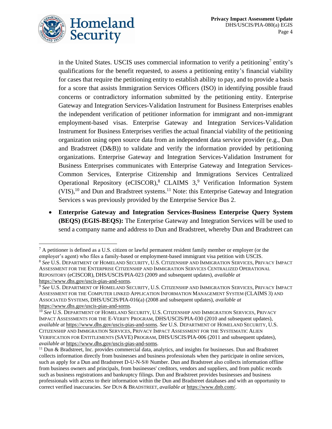

in the United States. USCIS uses commercial information to verify a petitioning<sup>7</sup> entity's qualifications for the benefit requested, to assess a petitioning entity's financial viability for cases that require the petitioning entity to establish ability to pay, and to provide a basis for a score that assists Immigration Services Officers (ISO) in identifying possible fraud concerns or contradictory information submitted by the petitioning entity. Enterprise Gateway and Integration Services-Validation Instrument for Business Enterprises enables the independent verification of petitioner information for immigrant and non-immigrant employment-based visas. Enterprise Gateway and Integration Services-Validation Instrument for Business Enterprises verifies the actual financial viability of the petitioning organization using open source data from an independent data service provider (e.g., Dun and Bradstreet (D&B)) to validate and verify the information provided by petitioning organizations. Enterprise Gateway and Integration Services-Validation Instrument for Business Enterprises communicates with Enterprise Gateway and Integration Services-Common Services, Enterprise Citizenship and Immigrations Services Centralized Operational Repository (eCISCOR),<sup>8</sup> CLAIMS 3,<sup>9</sup> Verification Information System  $(VIS)$ ,<sup>10</sup> and Dun and Bradstreet systems.<sup>11</sup> Note: this Enterprise Gateway and Integration Services s was previously provided by the Enterprise Service Bus 2.

• **Enterprise Gateway and Integration Services-Business Enterprise Query System (BEQS) (EGIS-BEQS):** The Enterprise Gateway and Integration Services will be used to send a company name and address to Dun and Bradstreet, whereby Dun and Bradstreet can

 $7$  A petitioner is defined as a U.S. citizen or lawful permanent resident family member or employer (or the employer's agent) who files a family-based or employment-based immigrant visa petition with USCIS.

<sup>8</sup> *See* U.S. DEPARTMENT OF HOMELAND SECURITY, U.S. CITIZENSHIP AND IMMIGRATION SERVICES, PRIVACY IMPACT ASSESSMENT FOR THE ENTERPRISE CITIZENSHIP AND IMMIGRATION SERVICES CENTRALIZED OPERATIONAL REPOSITORY (eCISCOR), DHS/USCIS/PIA-023 (2009 and subsequent updates), *available at* [https://www.dhs.gov/uscis-pias-and-sorns.](https://www.dhs.gov/uscis-pias-and-sorns)

<sup>9</sup> *See* U.S. DEPARTMENT OF HOMELAND SECURITY, U.S. CITIZENSHIP AND IMMIGRATION SERVICES, PRIVACY IMPACT ASSESSMENT FOR THE COMPUTER LINKED APPLICATION INFORMATION MANAGEMENT SYSTEM (CLAIMS 3) AND ASSOCIATED SYSTEMS, DHS/USCIS/PIA-016(a) (2008 and subsequent updates), *available at* [https://www.dhs.gov/uscis-pias-and-sorns.](https://www.dhs.gov/uscis-pias-and-sorns)

<sup>&</sup>lt;sup>10</sup> See U.S. DEPARTMENT OF HOMELAND SECURITY, U.S. CITIZENSHIP AND IMMIGRATION SERVICES, PRIVACY IMPACT ASSESSMENTS FOR THE E-VERIFY PROGRAM, DHS/USCIS/PIA-030 (2010 and subsequent updates), *available at* [https://www.dhs.gov/uscis-pias-and-sorns.](https://www.dhs.gov/uscis-pias-and-sorns) *See* U.S. DEPARTMENT OF HOMELAND SECURITY, U.S. CITIZENSHIP AND IMMIGRATION SERVICES, PRIVACY IMPACT ASSESSMENT FOR THE SYSTEMATIC ALIEN VERIFICATION FOR ENTITLEMENTS (SAVE) PROGRAM, DHS/USCIS/PIA-006 (2011 and subsequent updates), *available at* [https://www.dhs.gov/uscis-pias-and-sorns.](https://www.dhs.gov/uscis-pias-and-sorns)

<sup>11</sup> Dun & Bradstreet, Inc. provides commercial data, analytics, and insights for businesses. Dun and Bradstreet collects information directly from businesses and business professionals when they participate in online services, such as apply for a Dun and Bradstreet D-U-N-S® Number. Dun and Bradstreet also collects information offline from business owners and principals, from businesses' creditors, vendors and suppliers, and from public records such as business registrations and bankruptcy filings. Dun and Bradstreet provides businesses and business professionals with access to their information within the Dun and Bradstreet databases and with an opportunity to correct verified inaccuracies. *See* DUN & BRADSTREET, *available at* [https://www.dnb.com/.](https://www.dnb.com/)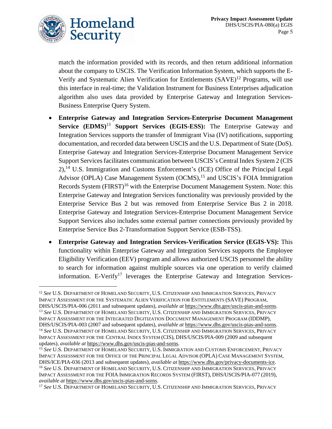

match the information provided with its records, and then return additional information about the company to USCIS. The Verification Information System, which supports the E-Verify and Systematic Alien Verification for Entitlements (SAVE)<sup>12</sup> Programs, will use this interface in real-time; the Validation Instrument for Business Enterprises adjudication algorithm also uses data provided by Enterprise Gateway and Integration Services-Business Enterprise Query System.

- **Enterprise Gateway and Integration Services-Enterprise Document Management Service (EDMS)**<sup>13</sup> **Support Services (EGIS-ESS):** The Enterprise Gateway and Integration Services supports the transfer of Immigrant Visa (IV) notifications, supporting documentation, and recorded data between USCIS and the U.S. Department of State (DoS). Enterprise Gateway and Integration Services-Enterprise Document Management Service Support Services facilitates communication between USCIS's Central Index System 2 (CIS 2),<sup>14</sup> U.S. Immigration and Customs Enforcement's (ICE) Office of the Principal Legal Advisor (OPLA) Case Management System (OCMS),<sup>15</sup> and USCIS's FOIA Immigration Records System (FIRST)<sup>16</sup> with the Enterprise Document Management System. Note: this Enterprise Gateway and Integration Services functionality was previously provided by the Enterprise Service Bus 2 but was removed from Enterprise Service Bus 2 in 2018. Enterprise Gateway and Integration Services-Enterprise Document Management Service Support Services also includes some external partner connections previously provided by Enterprise Service Bus 2-Transformation Support Service (ESB-TSS).
- **Enterprise Gateway and Integration Services-Verification Service (EGIS-VS):** This functionality within Enterprise Gateway and Integration Services supports the Employee Eligibility Verification (EEV) program and allows authorized USCIS personnel the ability to search for information against multiple sources via one operation to verify claimed information. E-Verify<sup>17</sup> leverages the Enterprise Gateway and Integration Services-

<sup>12</sup> *See* U.S. DEPARTMENT OF HOMELAND SECURITY, U.S. CITIZENSHIP AND IMMIGRATION SERVICES, PRIVACY IMPACT ASSESSMENT FOR THE SYSTEMATIC ALIEN VERIFICATION FOR ENTITLEMENTS (SAVE) PROGRAM, DHS/USCIS/PIA-006 (2011 and subsequent updates), *available at* [https://www.dhs.gov/uscis-pias-and-sorns.](https://www.dhs.gov/uscis-pias-and-sorns) <sup>13</sup> *See* U.S. DEPARTMENT OF HOMELAND SECURITY, U.S. CITIZENSHIP AND IMMIGRATION SERVICES, PRIVACY IMPACT ASSESSMENT FOR THE INTEGRATED DIGITIZATION DOCUMENT MANAGEMENT PROGRAM (IDDMP), DHS/USCIS/PIA-003 (2007 and subsequent updates), *available at* [https://www.dhs.gov/uscis-pias-and-sorns.](https://www.dhs.gov/uscis-pias-and-sorns) <sup>14</sup> *See* U.S. DEPARTMENT OF HOMELAND SECURITY, U.S. CITIZENSHIP AND IMMIGRATION SERVICES, PRIVACY IMPACT ASSESSMENT FOR THE CENTRAL INDEX SYSTEM (CIS), DHS/USCIS/PIA-009 (2009 and subsequent updates), *available at* [https://www.dhs.gov/uscis-pias-and-sorns.](https://www.dhs.gov/uscis-pias-and-sorns)

<sup>15</sup> *See* U.S. DEPARTMENT OF HOMELAND SECURITY, U.S. IMMIGRATION AND CUSTOMS ENFORCEMENT, PRIVACY IMPACT ASSESSMENT FOR THE OFFICE OF THE PRINCIPAL LEGAL ADVISOR (OPLA) CASE MANAGEMENT SYSTEM, DHS/ICE/PIA-036 (2013 and subsequent updates), *available at* [https://www.dhs.gov/privacy-documents-ice.](https://www.dhs.gov/privacy-documents-ice) <sup>16</sup> *See* U.S. DEPARTMENT OF HOMELAND SECURITY, U.S. CITIZENSHIP AND IMMIGRATION SERVICES, PRIVACY IMPACT ASSESSMENT FOR THE FOIA IMMIGRATION RECORDS SYSTEM (FIRST), DHS/USCIS/PIA-077 (2019), *available at* [https://www.dhs.gov/uscis-pias-and-sorns.](https://www.dhs.gov/uscis-pias-and-sorns)

<sup>17</sup> *See* U.S. DEPARTMENT OF HOMELAND SECURITY, U.S. CITIZENSHIP AND IMMIGRATION SERVICES, PRIVACY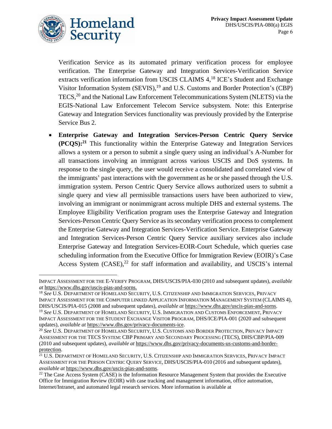

Verification Service as its automated primary verification process for employee verification. The Enterprise Gateway and Integration Services-Verification Service extracts verification information from USCIS CLAIMS 4,<sup>18</sup> ICE's Student and Exchange Visitor Information System (SEVIS),<sup>19</sup> and U.S. Customs and Border Protection's (CBP) TECS, <sup>20</sup> and the National Law Enforcement Telecommunications System (NLETS) via the EGIS-National Law Enforcement Telecom Service subsystem. Note: this Enterprise Gateway and Integration Services functionality was previously provided by the Enterprise Service Bus 2.

• **Enterprise Gateway and Integration Services-Person Centric Query Service (PCQS): <sup>21</sup>** This functionality within the Enterprise Gateway and Integration Services allows a system or a person to submit a single query using an individual's A-Number for all transactions involving an immigrant across various USCIS and DoS systems. In response to the single query, the user would receive a consolidated and correlated view of the immigrants' past interactions with the government as he or she passed through the U.S. immigration system. Person Centric Query Service allows authorized users to submit a single query and view all permissible transactions users have been authorized to view, involving an immigrant or nonimmigrant across multiple DHS and external systems. The Employee Eligibility Verification program uses the Enterprise Gateway and Integration Services-Person Centric Query Service as its secondary verification process to complement the Enterprise Gateway and Integration Services-Verification Service. Enterprise Gateway and Integration Services-Person Centric Query Service auxiliary services also include Enterprise Gateway and Integration Services-EOIR-Court Schedule, which queries case scheduling information from the Executive Office for Immigration Review (EOIR)'s Case Access System (CASE),<sup>22</sup> for staff information and availability, and USCIS's internal

IMPACT ASSESSMENT FOR THE E-VERIFY PROGRAM, DHS/USCIS/PIA-030 (2010 and subsequent updates), *available at* [https://www.dhs.gov/uscis-pias-and-sorns.](https://www.dhs.gov/uscis-pias-and-sorns)

<sup>18</sup> *See* U.S. DEPARTMENT OF HOMELAND SECURITY, U.S. CITIZENSHIP AND IMMIGRATION SERVICES, PRIVACY IMPACT ASSESSMENT FOR THE COMPUTER LINKED APPLICATION INFORMATION MANAGEMENT SYSTEM (CLAIMS 4), DHS/USCIS/PIA-015 (2008 and subsequent updates), *available at* [https://www.dhs.gov/uscis-pias-and-sorns.](https://www.dhs.gov/uscis-pias-and-sorns) <sup>19</sup> *See* U.S. DEPARTMENT OF HOMELAND SECURITY, U.S. IMMIGRATION AND CUSTOMS ENFORCEMENT, PRIVACY IMPACT ASSESSMENT FOR THE STUDENT EXCHANGE VISITOR PROGRAM, DHS/ICE/PIA-001 (2020 and subsequent updates), *available at* [https://www.dhs.gov/privacy-documents-ice.](https://www.dhs.gov/privacy-documents-ice)

<sup>20</sup> *See* U.S. DEPARTMENT OF HOMELAND SECURITY, U.S. CUSTOMS AND BORDER PROTECTION, PRIVACY IMPACT ASSESSMENT FOR THE TECS SYSTEM: CBP PRIMARY AND SECONDARY PROCESSING (TECS), DHS/CBP/PIA-009 (2010 and subsequent updates), *available at* [https://www.dhs.gov/privacy-documents-us-customs-and-border](https://www.dhs.gov/privacy-documents-us-customs-and-border-protection)[protection.](https://www.dhs.gov/privacy-documents-us-customs-and-border-protection)

<sup>21</sup> U.S. DEPARTMENT OF HOMELAND SECURITY, U.S. CITIZENSHIP AND IMMIGRATION SERVICES, PRIVACY IMPACT ASSESSMENT FOR THE PERSON CENTRIC QUERY SERVICE, DHS/USCIS/PIA-010 (2016 and subsequent updates), *available at* [https://www.dhs.gov/uscis-pias-and-sorns.](https://www.dhs.gov/uscis-pias-and-sorns)

<sup>&</sup>lt;sup>22</sup> The Case Access System (CASE) is the Information Resource Management System that provides the Executive Office for Immigration Review (EOIR) with case tracking and management information, office automation, Internet/Intranet, and automated legal research services. More information is available at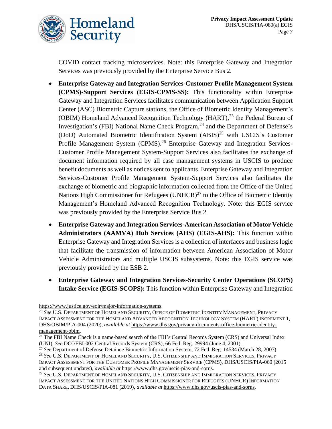

COVID contact tracking microservices. Note: this Enterprise Gateway and Integration Services was previously provided by the Enterprise Service Bus 2.

- **Enterprise Gateway and Integration Services-Customer Profile Management System (CPMS)-Support Services (EGIS-CPMS-SS):** This functionality within Enterprise Gateway and Integration Services facilitates communication between Application Support Center (ASC) Biometric Capture stations, the Office of Biometric Identity Management's (OBIM) Homeland Advanced Recognition Technology (HART), $^{23}$  the Federal Bureau of Investigation's (FBI) National Name Check Program, $^{24}$  and the Department of Defense's (DoD) Automated Biometric Identification System (ABIS)<sup>25</sup> with USCIS's Customer Profile Management System (CPMS).<sup>26</sup> Enterprise Gateway and Integration Services-Customer Profile Management System-Support Services also facilitates the exchange of document information required by all case management systems in USCIS to produce benefit documents as well as notices sent to applicants. Enterprise Gateway and Integration Services-Customer Profile Management System-Support Services also facilitates the exchange of biometric and biographic information collected from the Office of the United Nations High Commissioner for Refugees  $(UNHCR)^{27}$  to the Office of Biometric Identity Management's Homeland Advanced Recognition Technology. Note: this EGIS service was previously provided by the Enterprise Service Bus 2.
- **Enterprise Gateway and Integration Services-American Association of Motor Vehicle Administrators (AAMVA) Hub Services (AHS) (EGIS-AHS):** This function within Enterprise Gateway and Integration Services is a collection of interfaces and business logic that facilitate the transmission of information between American Association of Motor Vehicle Administrators and multiple USCIS subsystems. Note: this EGIS service was previously provided by the ESB 2.
- **Enterprise Gateway and Integration Services-Security Center Operations (SCOPS) Intake Service (EGIS-SCOPS):** This function within Enterprise Gateway and Integration

[https://www.justice.gov/eoir/major-information-systems.](https://www.justice.gov/eoir/major-information-systems)

<sup>23</sup> *See* U.S. DEPARTMENT OF HOMELAND SECURITY, OFFICE OF BIOMETRIC IDENTITY MANAGEMENT, PRIVACY IMPACT ASSESSMENT FOR THE HOMELAND ADVANCED RECOGNITION TECHNOLOGY SYSTEM (HART) INCREMENT 1, DHS/OBIM/PIA-004 (2020), *available at* [https://www.dhs.gov/privacy-documents-office-biometric-identity](https://www.dhs.gov/privacy-documents-office-biometric-identity-management-obim)[management-obim.](https://www.dhs.gov/privacy-documents-office-biometric-identity-management-obim)

<sup>&</sup>lt;sup>24</sup> The FBI Name Check is a name-based search of the FBI's Central Records System (CRS) and Universal Index (UNI). *See* DOJ/FBI-002 Central Records System (CRS), 66 Fed. Reg. 29994 (June 4, 2001).

<sup>25</sup> *See* Department of Defense Detainee Biometric Information System, 72 Fed. Reg. 14534 (March 28, 2007).

<sup>26</sup> *See* U.S. DEPARTMENT OF HOMELAND SECURITY, U.S. CITIZENSHIP AND IMMIGRATION SERVICES, PRIVACY IMPACT ASSESSMENT FOR THE CUSTOMER PROFILE MANAGEMENT SERVICE (CPMS), DHS/USCIS/PIA-060 (2015 and subsequent updates), *available at* [https://www.dhs.gov/uscis-pias-and-sorns.](https://www.dhs.gov/uscis-pias-and-sorns)

<sup>27</sup> *See* U.S. DEPARTMENT OF HOMELAND SECURITY, U.S. CITIZENSHIP AND IMMIGRATION SERVICES, PRIVACY IMPACT ASSESSMENT FOR THE UNITED NATIONS HIGH COMMISSIONER FOR REFUGEES (UNHCR) INFORMATION DATA SHARE, DHS/USCIS/PIA-081 (2019), *available at* [https://www.dhs.gov/uscis-pias-and-sorns.](https://www.dhs.gov/uscis-pias-and-sorns)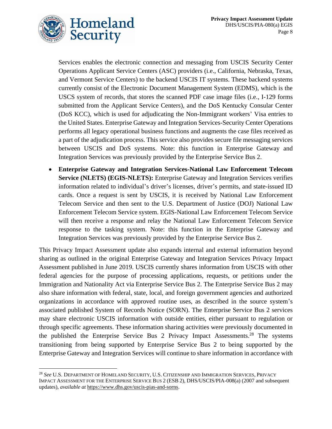

Services enables the electronic connection and messaging from USCIS Security Center Operations Applicant Service Centers (ASC) providers (i.e., California, Nebraska, Texas, and Vermont Service Centers) to the backend USCIS IT systems. These backend systems currently consist of the Electronic Document Management System (EDMS), which is the USCS system of records, that stores the scanned PDF case image files (i.e., I-129 forms submitted from the Applicant Service Centers), and the DoS Kentucky Consular Center (DoS KCC), which is used for adjudicating the Non-Immigrant workers' Visa entries to the United States. Enterprise Gateway and Integration Services-Security Center Operations performs all legacy operational business functions and augments the case files received as a part of the adjudication process. This service also provides secure file messaging services between USCIS and DoS systems. Note: this function in Enterprise Gateway and Integration Services was previously provided by the Enterprise Service Bus 2.

• **Enterprise Gateway and Integration Services-National Law Enforcement Telecom Service (NLETS) (EGIS-NLETS):** Enterprise Gateway and Integration Services verifies information related to individual's driver's licenses, driver's permits, and state-issued ID cards. Once a request is sent by USCIS, it is received by National Law Enforcement Telecom Service and then sent to the U.S. Department of Justice (DOJ) National Law Enforcement Telecom Service system. EGIS-National Law Enforcement Telecom Service will then receive a response and relay the National Law Enforcement Telecom Service response to the tasking system. Note: this function in the Enterprise Gateway and Integration Services was previously provided by the Enterprise Service Bus 2.

This Privacy Impact Assessment update also expands internal and external information beyond sharing as outlined in the original Enterprise Gateway and Integration Services Privacy Impact Assessment published in June 2019. USCIS currently shares information from USCIS with other federal agencies for the purpose of processing applications, requests, or petitions under the Immigration and Nationality Act via Enterprise Service Bus 2. The Enterprise Service Bus 2 may also share information with federal, state, local, and foreign government agencies and authorized organizations in accordance with approved routine uses, as described in the source system's associated published System of Records Notice (SORN). The Enterprise Service Bus 2 services may share electronic USCIS information with outside entities, either pursuant to regulation or through specific agreements. These information sharing activities were previously documented in the published the Enterprise Service Bus 2 Privacy Impact Assessments.<sup>28</sup> The systems transitioning from being supported by Enterprise Service Bus 2 to being supported by the Enterprise Gateway and Integration Services will continue to share information in accordance with

<sup>28</sup> *See* U.S. DEPARTMENT OF HOMELAND SECURITY, U.S. CITIZENSHIP AND IMMIGRATION SERVICES, PRIVACY IMPACT ASSESSMENT FOR THE ENTERPRISE SERVICE BUS 2 (ESB 2), DHS/USCIS/PIA-008(a) (2007 and subsequent updates), *available at* [https://www.dhs.gov/uscis-pias-and-sorns.](https://www.dhs.gov/uscis-pias-and-sorns)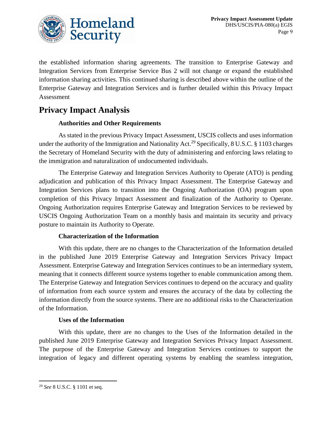

the established information sharing agreements. The transition to Enterprise Gateway and Integration Services from Enterprise Service Bus 2 will not change or expand the established information sharing activities. This continued sharing is described above within the outline of the Enterprise Gateway and Integration Services and is further detailed within this Privacy Impact Assessment

# **Privacy Impact Analysis**

# **Authorities and Other Requirements**

As stated in the previous Privacy Impact Assessment, USCIS collects and uses information under the authority of the Immigration and Nationality Act.<sup>29</sup> Specifically, 8 U.S.C. § 1103 charges the Secretary of Homeland Security with the duty of administering and enforcing laws relating to the immigration and naturalization of undocumented individuals.

The Enterprise Gateway and Integration Services Authority to Operate (ATO) is pending adjudication and publication of this Privacy Impact Assessment. The Enterprise Gateway and Integration Services plans to transition into the Ongoing Authorization (OA) program upon completion of this Privacy Impact Assessment and finalization of the Authority to Operate. Ongoing Authorization requires Enterprise Gateway and Integration Services to be reviewed by USCIS Ongoing Authorization Team on a monthly basis and maintain its security and privacy posture to maintain its Authority to Operate.

### **Characterization of the Information**

With this update, there are no changes to the Characterization of the Information detailed in the published June 2019 Enterprise Gateway and Integration Services Privacy Impact Assessment. Enterprise Gateway and Integration Services continues to be an intermediary system, meaning that it connects different source systems together to enable communication among them. The Enterprise Gateway and Integration Services continues to depend on the accuracy and quality of information from each source system and ensures the accuracy of the data by collecting the information directly from the source systems. There are no additional risks to the Characterization of the Information.

### **Uses of the Information**

With this update, there are no changes to the Uses of the Information detailed in the published June 2019 Enterprise Gateway and Integration Services Privacy Impact Assessment. The purpose of the Enterprise Gateway and Integration Services continues to support the integration of legacy and different operating systems by enabling the seamless integration,

<sup>29</sup> *See* 8 U.S.C. § 1101 et seq.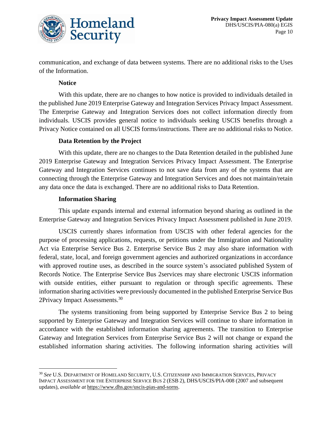

communication, and exchange of data between systems. There are no additional risks to the Uses of the Information.

### **Notice**

With this update, there are no changes to how notice is provided to individuals detailed in the published June 2019 Enterprise Gateway and Integration Services Privacy Impact Assessment. The Enterprise Gateway and Integration Services does not collect information directly from individuals. USCIS provides general notice to individuals seeking USCIS benefits through a Privacy Notice contained on all USCIS forms/instructions. There are no additional risks to Notice.

### **Data Retention by the Project**

With this update, there are no changes to the Data Retention detailed in the published June 2019 Enterprise Gateway and Integration Services Privacy Impact Assessment. The Enterprise Gateway and Integration Services continues to not save data from any of the systems that are connecting through the Enterprise Gateway and Integration Services and does not maintain/retain any data once the data is exchanged. There are no additional risks to Data Retention.

### **Information Sharing**

This update expands internal and external information beyond sharing as outlined in the Enterprise Gateway and Integration Services Privacy Impact Assessment published in June 2019.

USCIS currently shares information from USCIS with other federal agencies for the purpose of processing applications, requests, or petitions under the Immigration and Nationality Act via Enterprise Service Bus 2. Enterprise Service Bus 2 may also share information with federal, state, local, and foreign government agencies and authorized organizations in accordance with approved routine uses, as described in the source system's associated published System of Records Notice. The Enterprise Service Bus 2services may share electronic USCIS information with outside entities, either pursuant to regulation or through specific agreements. These information sharing activities were previously documented in the published Enterprise Service Bus 2Privacy Impact Assessments.<sup>30</sup>

The systems transitioning from being supported by Enterprise Service Bus 2 to being supported by Enterprise Gateway and Integration Services will continue to share information in accordance with the established information sharing agreements. The transition to Enterprise Gateway and Integration Services from Enterprise Service Bus 2 will not change or expand the established information sharing activities. The following information sharing activities will

<sup>30</sup> *See* U.S. DEPARTMENT OF HOMELAND SECURITY, U.S. CITIZENSHIP AND IMMIGRATION SERVICES, PRIVACY IMPACT ASSESSMENT FOR THE ENTERPRISE SERVICE BUS 2 (ESB 2), DHS/USCIS/PIA-008 (2007 and subsequent updates), *available at* [https://www.dhs.gov/uscis-pias-and-sorns.](https://www.dhs.gov/uscis-pias-and-sorns)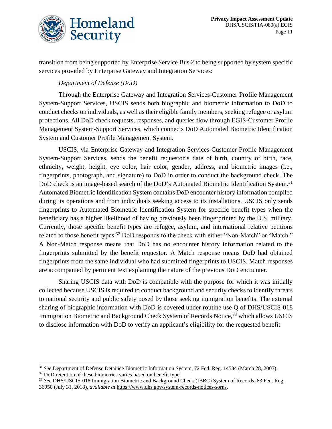

transition from being supported by Enterprise Service Bus 2 to being supported by system specific services provided by Enterprise Gateway and Integration Services:

# *Department of Defense (DoD)*

Through the Enterprise Gateway and Integration Services-Customer Profile Management System-Support Services, USCIS sends both biographic and biometric information to DoD to conduct checks on individuals, as well as their eligible family members, seeking refugee or asylum protections. All DoD check requests, responses, and queries flow through EGIS-Customer Profile Management System-Support Services, which connects DoD Automated Biometric Identification System and Customer Profile Management System.

USCIS, via Enterprise Gateway and Integration Services-Customer Profile Management System-Support Services, sends the benefit requestor's date of birth, country of birth, race, ethnicity, weight, height, eye color, hair color, gender, address, and biometric images (i.e., fingerprints, photograph, and signature) to DoD in order to conduct the background check. The DoD check is an image-based search of the DoD's Automated Biometric Identification System.<sup>31</sup> Automated Biometric Identification System contains DoD encounter history information compiled during its operations and from individuals seeking access to its installations. USCIS only sends fingerprints to Automated Biometric Identification System for specific benefit types when the beneficiary has a higher likelihood of having previously been fingerprinted by the U.S. military. Currently, those specific benefit types are refugee, asylum, and international relative petitions related to those benefit types.<sup>32</sup> DoD responds to the check with either "Non-Match" or "Match." A Non-Match response means that DoD has no encounter history information related to the fingerprints submitted by the benefit requestor. A Match response means DoD had obtained fingerprints from the same individual who had submitted fingerprints to USCIS. Match responses are accompanied by pertinent text explaining the nature of the previous DoD encounter.

Sharing USCIS data with DoD is compatible with the purpose for which it was initially collected because USCIS is required to conduct background and security checks to identify threats to national security and public safety posed by those seeking immigration benefits. The external sharing of biographic information with DoD is covered under routine use Q of DHS/USCIS-018 Immigration Biometric and Background Check System of Records Notice,<sup>33</sup> which allows USCIS to disclose information with DoD to verify an applicant's eligibility for the requested benefit.

<sup>32</sup> DoD retention of these biometrics varies based on benefit type.

<sup>31</sup> *See* Department of Defense Detainee Biometric Information System, 72 Fed. Reg. 14534 (March 28, 2007).

<sup>33</sup> *See* DHS/USCIS-018 Immigration Biometric and Background Check (IBBC) System of Records, 83 Fed. Reg. 36950 (July 31, 2018), *available at* [https://www.dhs.gov/system-records-notices-sorns.](https://www.dhs.gov/system-records-notices-sorns)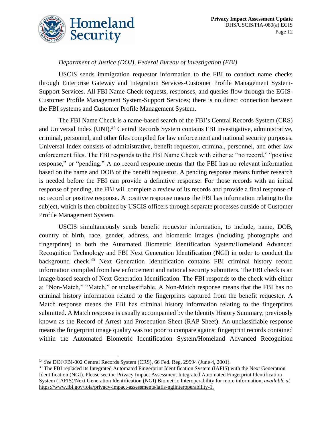

# *Department of Justice (DOJ), Federal Bureau of Investigation (FBI)*

USCIS sends immigration requestor information to the FBI to conduct name checks through Enterprise Gateway and Integration Services-Customer Profile Management System-Support Services. All FBI Name Check requests, responses, and queries flow through the EGIS-Customer Profile Management System-Support Services; there is no direct connection between the FBI systems and Customer Profile Management System.

The FBI Name Check is a name-based search of the FBI's Central Records System (CRS) and Universal Index (UNI).<sup>34</sup> Central Records System contains FBI investigative, administrative, criminal, personnel, and other files compiled for law enforcement and national security purposes. Universal Index consists of administrative, benefit requestor, criminal, personnel, and other law enforcement files. The FBI responds to the FBI Name Check with either a: "no record," "positive response," or "pending." A no record response means that the FBI has no relevant information based on the name and DOB of the benefit requestor. A pending response means further research is needed before the FBI can provide a definitive response. For those records with an initial response of pending, the FBI will complete a review of its records and provide a final response of no record or positive response. A positive response means the FBI has information relating to the subject, which is then obtained by USCIS officers through separate processes outside of Customer Profile Management System.

USCIS simultaneously sends benefit requestor information, to include, name, DOB, country of birth, race, gender, address, and biometric images (including photographs and fingerprints) to both the Automated Biometric Identification System/Homeland Advanced Recognition Technology and FBI Next Generation Identification (NGI) in order to conduct the background check.<sup>35</sup> Next Generation Identification contains FBI criminal history record information compiled from law enforcement and national security submitters. The FBI check is an image-based search of Next Generation Identification. The FBI responds to the check with either a: "Non-Match," "Match," or unclassifiable. A Non-Match response means that the FBI has no criminal history information related to the fingerprints captured from the benefit requestor. A Match response means the FBI has criminal history information relating to the fingerprints submitted. A Match response is usually accompanied by the Identity History Summary, previously known as the Record of Arrest and Prosecution Sheet (RAP Sheet). An unclassifiable response means the fingerprint image quality was too poor to compare against fingerprint records contained within the Automated Biometric Identification System/Homeland Advanced Recognition

<sup>34</sup> *See* DOJ/FBI-002 Central Records System (CRS), 66 Fed. Reg. 29994 (June 4, 2001).

<sup>&</sup>lt;sup>35</sup> The FBI replaced its Integrated Automated Fingerprint Identification System (IAFIS) with the Next Generation Identification (NGI). Please see the Privacy Impact Assessment Integrated Automated Fingerprint Identification System (IAFIS)/Next Generation Identification (NGI) Biometric Interoperability for more information, *available at*  [https://www.fbi.gov/foia/privacy-impact-assessments/iafis-ngiinteroperability-1.](https://www.fbi.gov/foia/privacy-impact-assessments/iafis-ngiinteroperability-1)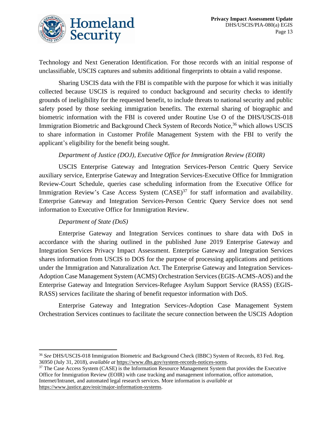

Technology and Next Generation Identification. For those records with an initial response of unclassifiable, USCIS captures and submits additional fingerprints to obtain a valid response.

Sharing USCIS data with the FBI is compatible with the purpose for which it was initially collected because USCIS is required to conduct background and security checks to identify grounds of ineligibility for the requested benefit, to include threats to national security and public safety posed by those seeking immigration benefits. The external sharing of biographic and biometric information with the FBI is covered under Routine Use O of the DHS/USCIS-018 Immigration Biometric and Background Check System of Records Notice,<sup>36</sup> which allows USCIS to share information in Customer Profile Management System with the FBI to verify the applicant's eligibility for the benefit being sought.

# *Department of Justice (DOJ), Executive Office for Immigration Review (EOIR)*

USCIS Enterprise Gateway and Integration Services-Person Centric Query Service auxiliary service, Enterprise Gateway and Integration Services-Executive Office for Immigration Review-Court Schedule, queries case scheduling information from the Executive Office for Immigration Review's Case Access System  $(CASE)^{37}$  for staff information and availability. Enterprise Gateway and Integration Services-Person Centric Query Service does not send information to Executive Office for Immigration Review.

### *Department of State (DoS)*

Enterprise Gateway and Integration Services continues to share data with DoS in accordance with the sharing outlined in the published June 2019 Enterprise Gateway and Integration Services Privacy Impact Assessment. Enterprise Gateway and Integration Services shares information from USCIS to DOS for the purpose of processing applications and petitions under the Immigration and Naturalization Act. The Enterprise Gateway and Integration Services-Adoption Case Management System (ACMS) Orchestration Services (EGIS-ACMS-AOS) and the Enterprise Gateway and Integration Services-Refugee Asylum Support Service (RASS) (EGIS-RASS) services facilitate the sharing of benefit requestor information with DoS.

Enterprise Gateway and Integration Services-Adoption Case Management System Orchestration Services continues to facilitate the secure connection between the USCIS Adoption

<sup>36</sup> *See* DHS/USCIS-018 Immigration Biometric and Background Check (IBBC) System of Records, 83 Fed. Reg. 36950 (July 31, 2018), *available at* [https://www.dhs.gov/system-records-notices-sorns.](https://www.dhs.gov/system-records-notices-sorns)

<sup>&</sup>lt;sup>37</sup> The Case Access System (CASE) is the Information Resource Management System that provides the Executive Office for Immigration Review (EOIR) with case tracking and management information, office automation, Internet/Intranet, and automated legal research services. More information is *available at* [https://www.justice.gov/eoir/major-information-systems.](https://www.justice.gov/eoir/major-information-systems)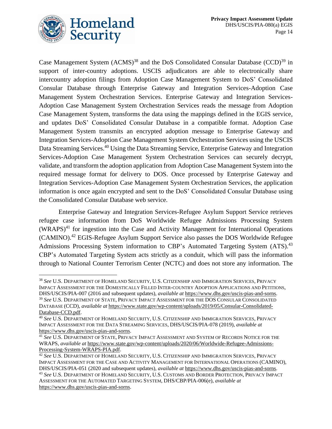

Case Management System  $(ACMS)^{38}$  and the DoS Consolidated Consular Database  $(CCD)^{39}$  in support of inter-country adoptions. USCIS adjudicators are able to electronically share intercountry adoption filings from Adoption Case Management System to DoS' Consolidated Consular Database through Enterprise Gateway and Integration Services-Adoption Case Management System Orchestration Services. Enterprise Gateway and Integration Services-Adoption Case Management System Orchestration Services reads the message from Adoption Case Management System, transforms the data using the mappings defined in the EGIS service, and updates DoS' Consolidated Consular Database in a compatible format. Adoption Case Management System transmits an encrypted adoption message to Enterprise Gateway and Integration Services-Adoption Case Management System Orchestration Services using the USCIS Data Streaming Services.<sup>40</sup> Using the Data Streaming Service, Enterprise Gateway and Integration Services-Adoption Case Management System Orchestration Services can securely decrypt, validate, and transform the adoption application from Adoption Case Management System into the required message format for delivery to DOS. Once processed by Enterprise Gateway and Integration Services-Adoption Case Management System Orchestration Services, the application information is once again encrypted and sent to the DoS' Consolidated Consular Database using the Consolidated Consular Database web service.

Enterprise Gateway and Integration Services-Refugee Asylum Support Service retrieves refugee case information from DoS Worldwide Refugee Admissions Processing System (WRAPS) <sup>41</sup> for ingestion into the Case and Activity Management for International Operations (CAMINO).<sup>42</sup> EGIS-Refugee Asylum Support Service also passes the DOS Worldwide Refugee Admissions Processing System information to CBP's Automated Targeting System (ATS).<sup>43</sup> CBP's Automated Targeting System acts strictly as a conduit, which will pass the information through to National Counter Terrorism Center (NCTC) and does not store any information. The

<sup>38</sup> *See* U.S. DEPARTMENT OF HOMELAND SECURITY, U.S. CITIZENSHIP AND IMMIGRATION SERVICES, PRIVACY IMPACT ASSESSMENT FOR THE DOMESTICALLY FILLED INTER-COUNTRY ADOPTION APPLICATIONS AND PETITIONS, DHS/USCIS/PIA-007 (2016 and subsequent updates), *available at* [https://www.dhs.gov/uscis-pias-and-sorns.](https://www.dhs.gov/uscis-pias-and-sorns)

<sup>39</sup> *See* U.S. DEPARTMENT OF STATE, PRIVACY IMPACT ASSESSMENT FOR THE DOS CONSULAR CONSOLIDATED DATABASE (CCD), *available at* [https://www.state.gov/wp-content/uploads/2019/05/Consular-Consolidated-](https://www.state.gov/wp-content/uploads/2019/05/Consular-Consolidated-Database-CCD.pdf)[Database-CCD.pdf.](https://www.state.gov/wp-content/uploads/2019/05/Consular-Consolidated-Database-CCD.pdf)

<sup>40</sup> *See* U.S. DEPARTMENT OF HOMELAND SECURITY, U.S. CITIZENSHIP AND IMMIGRATION SERVICES, PRIVACY IMPACT ASSESSMENT FOR THE DATA STREAMING SERVICES, DHS/USCIS/PIA-078 (2019), *available at*  [https://www.dhs.gov/uscis-pias-and-sorns.](https://www.dhs.gov/uscis-pias-and-sorns)

<sup>41</sup> *See* U.S. DEPARTMENT OF STATE, PRIVACY IMPACT ASSESSMENT AND SYSTEM OF RECORDS NOTICE FOR THE WRAPS, *available at* [https://www.state.gov/wp-content/uploads/2020/06/Worldwide-Refugee-Admissions-](https://www.state.gov/wp-content/uploads/2020/06/Worldwide-Refugee-Admissions-Processing-System-WRAPS-PIA.pdf)[Processing-System-WRAPS-PIA.pdf.](https://www.state.gov/wp-content/uploads/2020/06/Worldwide-Refugee-Admissions-Processing-System-WRAPS-PIA.pdf)

<sup>42</sup> *See* U.S. DEPARTMENT OF HOMELAND SECURITY, U.S. CITIZENSHIP AND IMMIGRATION SERVICES, PRIVACY IMPACT ASSESSMENT FOR THE CASE AND ACTIVITY MANAGEMENT FOR INTERNATIONAL OPERATIONS (CAMINO), DHS/USCIS/PIA-051 (2020 and subsequent updates), *available at* [https://www.dhs.gov/uscis-pias-and-sorns.](https://www.dhs.gov/uscis-pias-and-sorns)

<sup>43</sup> *See* U.S. DEPARTMENT OF HOMELAND SECURITY, U.S. CUSTOMS AND BORDER PROTECTION, PRIVACY IMPACT ASSESSMENT FOR THE AUTOMATED TARGETING SYSTEM, DHS/CBP/PIA-006(e), *available at* [https://www.dhs.gov/uscis-pias-and-sorns.](https://www.dhs.gov/uscis-pias-and-sorns)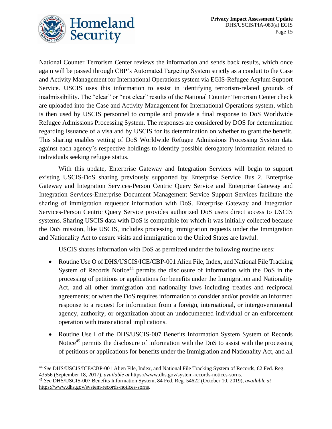

National Counter Terrorism Center reviews the information and sends back results, which once again will be passed through CBP's Automated Targeting System strictly as a conduit to the Case and Activity Management for International Operations system via EGIS-Refugee Asylum Support Service. USCIS uses this information to assist in identifying terrorism-related grounds of inadmissibility. The "clear" or "not clear" results of the National Counter Terrorism Center check are uploaded into the Case and Activity Management for International Operations system, which is then used by USCIS personnel to compile and provide a final response to DoS Worldwide Refugee Admissions Processing System. The responses are considered by DOS for determination regarding issuance of a visa and by USCIS for its determination on whether to grant the benefit. This sharing enables vetting of DoS Worldwide Refugee Admissions Processing System data against each agency's respective holdings to identify possible derogatory information related to individuals seeking refugee status.

With this update, Enterprise Gateway and Integration Services will begin to support existing USCIS-DoS sharing previously supported by Enterprise Service Bus 2. Enterprise Gateway and Integration Services-Person Centric Query Service and Enterprise Gateway and Integration Services-Enterprise Document Management Service Support Services facilitate the sharing of immigration requestor information with DoS. Enterprise Gateway and Integration Services-Person Centric Query Service provides authorized DoS users direct access to USCIS systems. Sharing USCIS data with DoS is compatible for which it was initially collected because the DoS mission, like USCIS, includes processing immigration requests under the Immigration and Nationality Act to ensure visits and immigration to the United States are lawful.

USCIS shares information with DoS as permitted under the following routine uses:

- Routine Use O of DHS/USCIS/ICE/CBP-001 Alien File, Index, and National File Tracking System of Records Notice<sup>44</sup> permits the disclosure of information with the DoS in the processing of petitions or applications for benefits under the Immigration and Nationality Act, and all other immigration and nationality laws including treaties and reciprocal agreements; or when the DoS requires information to consider and/or provide an informed response to a request for information from a foreign, international, or intergovernmental agency, authority, or organization about an undocumented individual or an enforcement operation with transnational implications.
- Routine Use I of the DHS/USCIS-007 Benefits Information System System of Records Notice<sup>45</sup> permits the disclosure of information with the DoS to assist with the processing of petitions or applications for benefits under the Immigration and Nationality Act, and all

<sup>44</sup> *See* DHS/USCIS/ICE/CBP-001 Alien File, Index, and National File Tracking System of Records, 82 Fed. Reg. 43556 (September 18, 2017), *available at* [https://www.dhs.gov/system-records-notices-sorns.](https://www.dhs.gov/system-records-notices-sorns)

<sup>45</sup> *See* DHS/USCIS-007 Benefits Information System, 84 Fed. Reg. 54622 (October 10, 2019), *available at* [https://www.dhs.gov/system-records-notices-sorns.](https://www.dhs.gov/system-records-notices-sorns)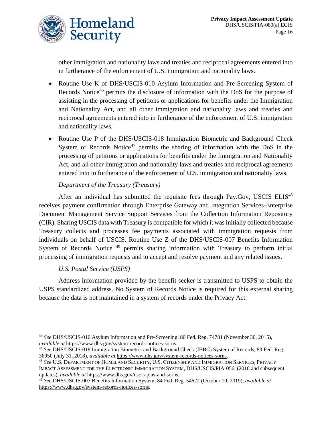

other immigration and nationality laws and treaties and reciprocal agreements entered into in furtherance of the enforcement of U.S. immigration and nationality laws.

- Routine Use K of DHS/USCIS-010 Asylum Information and Pre-Screening System of Records Notice<sup>46</sup> permits the disclosure of information with the DoS for the purpose of assisting in the processing of petitions or applications for benefits under the Immigration and Nationality Act, and all other immigration and nationality laws and treaties and reciprocal agreements entered into in furtherance of the enforcement of U.S. immigration and nationality laws.
- Routine Use P of the DHS/USCIS-018 Immigration Biometric and Background Check System of Records Notice<sup>47</sup> permits the sharing of information with the DoS in the processing of petitions or applications for benefits under the Immigration and Nationality Act, and all other immigration and nationality laws and treaties and reciprocal agreements entered into in furtherance of the enforcement of U.S. immigration and nationality laws.

# *Department of the Treasury (Treasury)*

After an individual has submitted the requisite fees through Pay.Gov, USCIS ELIS<sup>48</sup> receives payment confirmation through Enterprise Gateway and Integration Services-Enterprise Document Management Service Support Services from the Collection Information Repository (CIR). Sharing USCIS data with Treasury is compatible for which it was initially collected because Treasury collects and processes fee payments associated with immigration requests from individuals on behalf of USCIS. Routine Use Z of the DHS/USCIS-007 Benefits Information System of Records Notice <sup>49</sup> permits sharing information with Treasury to perform initial processing of immigration requests and to accept and resolve payment and any related issues.

### *U.S. Postal Service (USPS)*

Address information provided by the benefit seeker is transmitted to USPS to obtain the USPS standardized address. No System of Records Notice is required for this external sharing because the data is not maintained in a system of records under the Privacy Act.

<sup>46</sup> *See* DHS/USCIS-010 Asylum Information and Pre-Screening, 80 Fed. Reg. 74781 (November 30, 2015), *available at* [https://www.dhs.gov/system-records-notices-sorns.](https://www.dhs.gov/system-records-notices-sorns)

<sup>47</sup> *See* DHS/USCIS-018 Immigration Biometric and Background Check (IBBC) System of Records, 83 Fed. Reg. 36950 (July 31, 2018), *available at* [https://www.dhs.gov/system-records-notices-sorns.](https://www.dhs.gov/system-records-notices-sorns)

<sup>48</sup> *See* U.S. DEPARTMENT OF HOMELAND SECURITY, U.S. CITIZENSHIP AND IMMIGRATION SERVICES, PRIVACY IMPACT ASSESSMENT FOR THE ELECTRONIC IMMIGRATION SYSTEM, DHS/USCIS/PIA-056, (2018 and subsequent updates), *available at* [https://www.dhs.gov/uscis-pias-and-sorns.](https://www.dhs.gov/uscis-pias-and-sorns)

<sup>49</sup> *See* DHS/USCIS-007 Benefits Information System, 84 Fed. Reg. 54622 (October 10, 2019), *available at* [https://www.dhs.gov/system-records-notices-sorns.](https://www.dhs.gov/system-records-notices-sorns)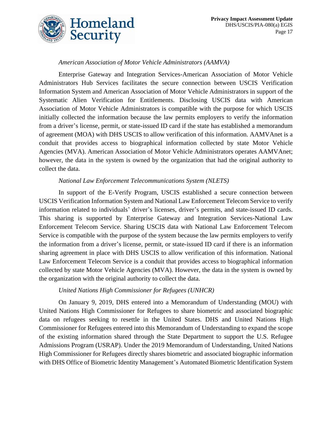

# *American Association of Motor Vehicle Administrators (AAMVA)*

Enterprise Gateway and Integration Services-American Association of Motor Vehicle Administrators Hub Services facilitates the secure connection between USCIS Verification Information System and American Association of Motor Vehicle Administrators in support of the Systematic Alien Verification for Entitlements. Disclosing USCIS data with American Association of Motor Vehicle Administrators is compatible with the purpose for which USCIS initially collected the information because the law permits employers to verify the information from a driver's license, permit, or state-issued ID card if the state has established a memorandum of agreement (MOA) with DHS USCIS to allow verification of this information. AAMVAnet is a conduit that provides access to biographical information collected by state Motor Vehicle Agencies (MVA). American Association of Motor Vehicle Administrators operates AAMVAnet; however, the data in the system is owned by the organization that had the original authority to collect the data.

### *National Law Enforcement Telecommunications System (NLETS)*

In support of the E-Verify Program, USCIS established a secure connection between USCIS Verification Information System and National Law Enforcement Telecom Service to verify information related to individuals' driver's licenses, driver's permits, and state-issued ID cards. This sharing is supported by Enterprise Gateway and Integration Services-National Law Enforcement Telecom Service. Sharing USCIS data with National Law Enforcement Telecom Service is compatible with the purpose of the system because the law permits employers to verify the information from a driver's license, permit, or state-issued ID card if there is an information sharing agreement in place with DHS USCIS to allow verification of this information. National Law Enforcement Telecom Service is a conduit that provides access to biographical information collected by state Motor Vehicle Agencies (MVA). However, the data in the system is owned by the organization with the original authority to collect the data.

### *United Nations High Commissioner for Refugees (UNHCR)*

On January 9, 2019, DHS entered into a Memorandum of Understanding (MOU) with United Nations High Commissioner for Refugees to share biometric and associated biographic data on refugees seeking to resettle in the United States. DHS and United Nations High Commissioner for Refugees entered into this Memorandum of Understanding to expand the scope of the existing information shared through the State Department to support the U.S. Refugee Admissions Program (USRAP). Under the 2019 Memorandum of Understanding, United Nations High Commissioner for Refugees directly shares biometric and associated biographic information with DHS Office of Biometric Identity Management's Automated Biometric Identification System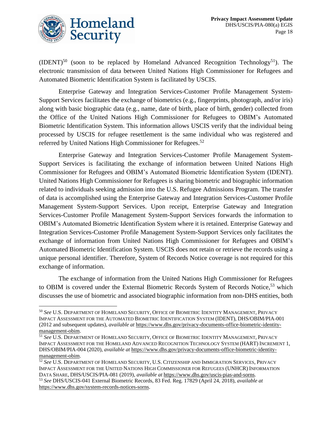

 $(IDENT)^{50}$  (soon to be replaced by Homeland Advanced Recognition Technology<sup>51</sup>). The electronic transmission of data between United Nations High Commissioner for Refugees and Automated Biometric Identification System is facilitated by USCIS.

Enterprise Gateway and Integration Services-Customer Profile Management System-Support Services facilitates the exchange of biometrics (e.g., fingerprints, photograph, and/or iris) along with basic biographic data (e.g., name, date of birth, place of birth, gender) collected from the Office of the United Nations High Commissioner for Refugees to OBIM's Automated Biometric Identification System. This information allows USCIS verify that the individual being processed by USCIS for refugee resettlement is the same individual who was registered and referred by United Nations High Commissioner for Refugees.<sup>52</sup>

Enterprise Gateway and Integration Services-Customer Profile Management System-Support Services is facilitating the exchange of information between United Nations High Commissioner for Refugees and OBIM's Automated Biometric Identification System (IDENT). United Nations High Commissioner for Refugees is sharing biometric and biographic information related to individuals seeking admission into the U.S. Refugee Admissions Program. The transfer of data is accomplished using the Enterprise Gateway and Integration Services-Customer Profile Management System-Support Services. Upon receipt, Enterprise Gateway and Integration Services-Customer Profile Management System-Support Services forwards the information to OBIM's Automated Biometric Identification System where it is retained. Enterprise Gateway and Integration Services-Customer Profile Management System-Support Services only facilitates the exchange of information from United Nations High Commissioner for Refugees and OBIM's Automated Biometric Identification System. USCIS does not retain or retrieve the records using a unique personal identifier. Therefore, System of Records Notice coverage is not required for this exchange of information.

The exchange of information from the United Nations High Commissioner for Refugees to OBIM is covered under the External Biometric Records System of Records Notice,<sup>53</sup> which discusses the use of biometric and associated biographic information from non-DHS entities, both

<sup>50</sup> *See* U.S. DEPARTMENT OF HOMELAND SECURITY, OFFICE OF BIOMETRIC IDENTITY MANAGEMENT, PRIVACY IMPACT ASSESSMENT FOR THE AUTOMATED BIOMETRIC IDENTIFICATION SYSTEM (IDENT), DHS/OBIM/PIA-001 (2012 and subsequent updates), *available at* [https://www.dhs.gov/privacy-documents-office-biometric-identity](https://www.dhs.gov/privacy-documents-office-biometric-identity-management-obim)[management-obim.](https://www.dhs.gov/privacy-documents-office-biometric-identity-management-obim)

<sup>51</sup> *See* U.S. DEPARTMENT OF HOMELAND SECURITY, OFFICE OF BIOMETRIC IDENTITY MANAGEMENT, PRIVACY IMPACT ASSESSMENT FOR THE HOMELAND ADVANCED RECOGNITION TECHNOLOGY SYSTEM (HART) INCREMENT 1, DHS/OBIM/PIA-004 (2020), *available at* [https://www.dhs.gov/privacy-documents-office-biometric-identity](https://www.dhs.gov/privacy-documents-office-biometric-identity-management-obim)[management-obim.](https://www.dhs.gov/privacy-documents-office-biometric-identity-management-obim)

<sup>52</sup> *See* U.S. DEPARTMENT OF HOMELAND SECURITY, U.S. CITIZENSHIP AND IMMIGRATION SERVICES, PRIVACY IMPACT ASSESSMENT FOR THE UNITED NATIONS HIGH COMMISSIONER FOR REFUGEES (UNHCR) INFORMATION DATA SHARE, DHS/USCIS/PIA-081 (2019), *available at* [https://www.dhs.gov/uscis-pias-and-sorns.](https://www.dhs.gov/uscis-pias-and-sorns) <sup>53</sup> *See* DHS/USCIS-041 External Biometric Records, 83 Fed. Reg. 17829 (April 24, 2018), *available at* [https://www.dhs.gov/system-records-notices-sorns.](https://www.dhs.gov/system-records-notices-sorns)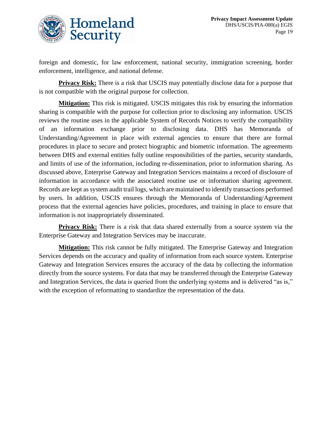

foreign and domestic, for law enforcement, national security, immigration screening, border enforcement, intelligence, and national defense.

**Privacy Risk:** There is a risk that USCIS may potentially disclose data for a purpose that is not compatible with the original purpose for collection.

**Mitigation:** This risk is mitigated. USCIS mitigates this risk by ensuring the information sharing is compatible with the purpose for collection prior to disclosing any information. USCIS reviews the routine uses in the applicable System of Records Notices to verify the compatibility of an information exchange prior to disclosing data. DHS has Memoranda of Understanding/Agreement in place with external agencies to ensure that there are formal procedures in place to secure and protect biographic and biometric information. The agreements between DHS and external entities fully outline responsibilities of the parties, security standards, and limits of use of the information, including re-dissemination, prior to information sharing. As discussed above, Enterprise Gateway and Integration Services maintains a record of disclosure of information in accordance with the associated routine use or information sharing agreement. Records are kept as system audit trail logs, which are maintained to identify transactions performed by users. In addition, USCIS ensures through the Memoranda of Understanding/Agreement process that the external agencies have policies, procedures, and training in place to ensure that information is not inappropriately disseminated.

**Privacy Risk:** There is a risk that data shared externally from a source system via the Enterprise Gateway and Integration Services may be inaccurate.

**Mitigation:** This risk cannot be fully mitigated. The Enterprise Gateway and Integration Services depends on the accuracy and quality of information from each source system. Enterprise Gateway and Integration Services ensures the accuracy of the data by collecting the information directly from the source systems. For data that may be transferred through the Enterprise Gateway and Integration Services, the data is queried from the underlying systems and is delivered "as is," with the exception of reformatting to standardize the representation of the data.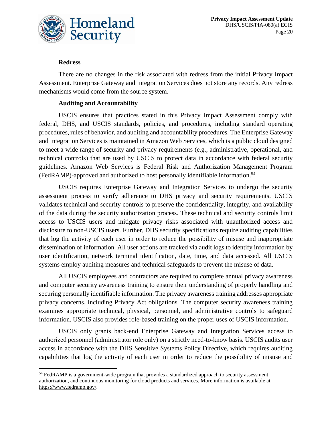

### **Redress**

There are no changes in the risk associated with redress from the initial Privacy Impact Assessment. Enterprise Gateway and Integration Services does not store any records. Any redress mechanisms would come from the source system.

### **Auditing and Accountability**

USCIS ensures that practices stated in this Privacy Impact Assessment comply with federal, DHS, and USCIS standards, policies, and procedures, including standard operating procedures, rules of behavior, and auditing and accountability procedures. The Enterprise Gateway and Integration Services is maintained in Amazon Web Services, which is a public cloud designed to meet a wide range of security and privacy requirements (e.g., administrative, operational, and technical controls) that are used by USCIS to protect data in accordance with federal security guidelines. Amazon Web Services is Federal Risk and Authorization Management Program (FedRAMP)-approved and authorized to host personally identifiable information. 54

USCIS requires Enterprise Gateway and Integration Services to undergo the security assessment process to verify adherence to DHS privacy and security requirements. USCIS validates technical and security controls to preserve the confidentiality, integrity, and availability of the data during the security authorization process. These technical and security controls limit access to USCIS users and mitigate privacy risks associated with unauthorized access and disclosure to non-USCIS users. Further, DHS security specifications require auditing capabilities that log the activity of each user in order to reduce the possibility of misuse and inappropriate dissemination of information. All user actions are tracked via audit logs to identify information by user identification, network terminal identification, date, time, and data accessed. All USCIS systems employ auditing measures and technical safeguards to prevent the misuse of data.

All USCIS employees and contractors are required to complete annual privacy awareness and computer security awareness training to ensure their understanding of properly handling and securing personally identifiable information. The privacy awareness training addresses appropriate privacy concerns, including Privacy Act obligations. The computer security awareness training examines appropriate technical, physical, personnel, and administrative controls to safeguard information. USCIS also provides role-based training on the proper uses of USCIS information.

USCIS only grants back-end Enterprise Gateway and Integration Services access to authorized personnel (administrator role only) on a strictly need-to-know basis. USCIS audits user access in accordance with the DHS Sensitive Systems Policy Directive, which requires auditing capabilities that log the activity of each user in order to reduce the possibility of misuse and

<sup>&</sup>lt;sup>54</sup> FedRAMP is a government-wide program that provides a standardized approach to security assessment, authorization, and continuous monitoring for cloud products and services. More information is available at [https://www.fedramp.gov/.](https://www.fedramp.gov/)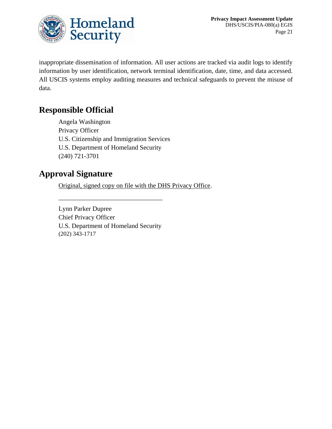

inappropriate dissemination of information. All user actions are tracked via audit logs to identify information by user identification, network terminal identification, date, time, and data accessed. All USCIS systems employ auditing measures and technical safeguards to prevent the misuse of data.

# **Responsible Official**

Angela Washington Privacy Officer U.S. Citizenship and Immigration Services U.S. Department of Homeland Security (240) 721-3701

# **Approval Signature**

Original, signed copy on file with the DHS Privacy Office.

Lynn Parker Dupree Chief Privacy Officer U.S. Department of Homeland Security (202) 343-1717

\_\_\_\_\_\_\_\_\_\_\_\_\_\_\_\_\_\_\_\_\_\_\_\_\_\_\_\_\_\_\_\_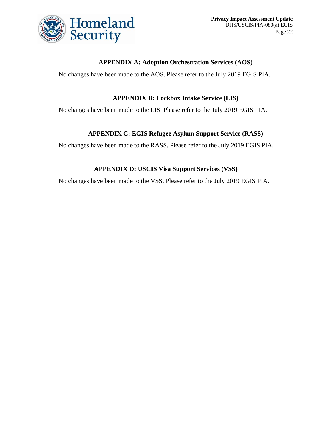

### **APPENDIX A: Adoption Orchestration Services (AOS)**

No changes have been made to the AOS. Please refer to the July 2019 EGIS PIA.

### **APPENDIX B: Lockbox Intake Service (LIS)**

No changes have been made to the LIS. Please refer to the July 2019 EGIS PIA.

### **APPENDIX C: EGIS Refugee Asylum Support Service (RASS)**

No changes have been made to the RASS. Please refer to the July 2019 EGIS PIA.

### **APPENDIX D: USCIS Visa Support Services (VSS)**

No changes have been made to the VSS. Please refer to the July 2019 EGIS PIA.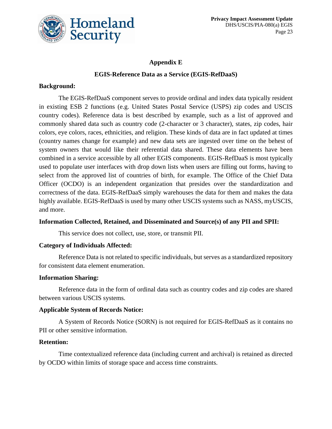

### **Appendix E**

### **EGIS-Reference Data as a Service (EGIS-RefDaaS)**

### **Background:**

The EGIS-RefDaaS component serves to provide ordinal and index data typically resident in existing ESB 2 functions (e.g. United States Postal Service (USPS) zip codes and USCIS country codes). Reference data is best described by example, such as a list of approved and commonly shared data such as country code (2-character or 3 character), states, zip codes, hair colors, eye colors, races, ethnicities, and religion. These kinds of data are in fact updated at times (country names change for example) and new data sets are ingested over time on the behest of system owners that would like their referential data shared. These data elements have been combined in a service accessible by all other EGIS components. EGIS-RefDaaS is most typically used to populate user interfaces with drop down lists when users are filling out forms, having to select from the approved list of countries of birth, for example. The Office of the Chief Data Officer (OCDO) is an independent organization that presides over the standardization and correctness of the data. EGIS-RefDaaS simply warehouses the data for them and makes the data highly available. EGIS-RefDaaS is used by many other USCIS systems such as NASS, myUSCIS, and more.

### **Information Collected, Retained, and Disseminated and Source(s) of any PII and SPII:**

This service does not collect, use, store, or transmit PII.

### **Category of Individuals Affected:**

Reference Data is not related to specific individuals, but serves as a standardized repository for consistent data element enumeration.

### **Information Sharing:**

Reference data in the form of ordinal data such as country codes and zip codes are shared between various USCIS systems.

### **Applicable System of Records Notice:**

A System of Records Notice (SORN) is not required for EGIS-RefDaaS as it contains no PII or other sensitive information.

### **Retention:**

Time contextualized reference data (including current and archival) is retained as directed by OCDO within limits of storage space and access time constraints.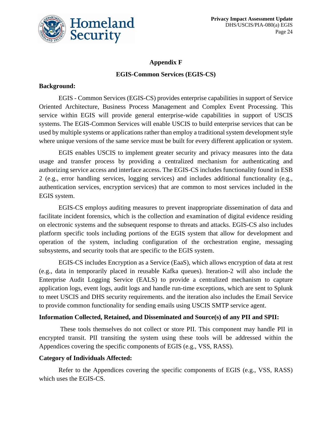

# **Appendix F EGIS-Common Services (EGIS-CS)**

### **Background:**

EGIS - Common Services (EGIS-CS) provides enterprise capabilities in support of Service Oriented Architecture, Business Process Management and Complex Event Processing. This service within EGIS will provide general enterprise-wide capabilities in support of USCIS systems. The EGIS-Common Services will enable USCIS to build enterprise services that can be used by multiple systems or applications rather than employ a traditional system development style where unique versions of the same service must be built for every different application or system.

EGIS enables USCIS to implement greater security and privacy measures into the data usage and transfer process by providing a centralized mechanism for authenticating and authorizing service access and interface access. The EGIS-CS includes functionality found in ESB 2 (e.g., error handling services, logging services) and includes additional functionality (e.g., authentication services, encryption services) that are common to most services included in the EGIS system.

EGIS-CS employs auditing measures to prevent inappropriate dissemination of data and facilitate incident forensics, which is the collection and examination of digital evidence residing on electronic systems and the subsequent response to threats and attacks. EGIS-CS also includes platform specific tools including portions of the EGIS system that allow for development and operation of the system, including configuration of the orchestration engine, messaging subsystems, and security tools that are specific to the EGIS system.

EGIS-CS includes Encryption as a Service (EaaS), which allows encryption of data at rest (e.g., data in temporarily placed in reusable Kafka queues). Iteration-2 will also include the Enterprise Audit Logging Service (EALS) to provide a centralized mechanism to capture application logs, event logs, audit logs and handle run-time exceptions, which are sent to Splunk to meet USCIS and DHS security requirements. and the iteration also includes the Email Service to provide common functionality for sending emails using USCIS SMTP service agent.

### **Information Collected, Retained, and Disseminated and Source(s) of any PII and SPII:**

These tools themselves do not collect or store PII. This component may handle PII in encrypted transit. PII transiting the system using these tools will be addressed within the Appendices covering the specific components of EGIS (e.g., VSS, RASS).

### **Category of Individuals Affected:**

Refer to the Appendices covering the specific components of EGIS (e.g., VSS, RASS) which uses the EGIS-CS.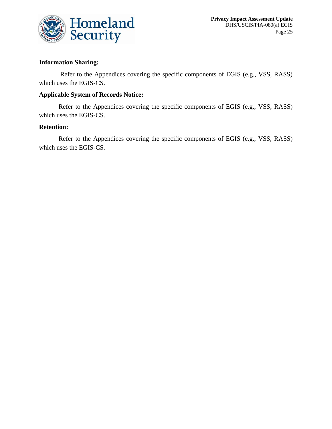

### **Information Sharing:**

Refer to the Appendices covering the specific components of EGIS (e.g., VSS, RASS) which uses the EGIS-CS.

### **Applicable System of Records Notice:**

Refer to the Appendices covering the specific components of EGIS (e.g., VSS, RASS) which uses the EGIS-CS.

### **Retention:**

Refer to the Appendices covering the specific components of EGIS (e.g., VSS, RASS) which uses the EGIS-CS.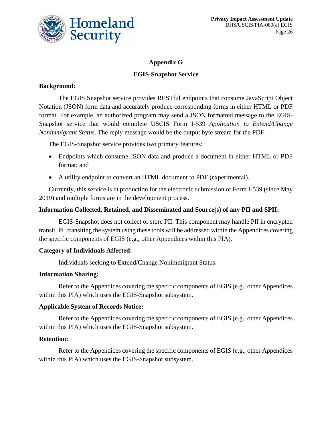

# **Appendix G**

### **EGIS-Snapshot Service**

### **Background:**

The EGIS Snapshot service provides RESTful endpoints that consume JavaScript Object Notation (JSON) form data and accurately produce corresponding forms in either HTML or PDF format. For example, an authorized program may send a JSON formatted message to the EGIS-Snapshot service that would complete USCIS Form I-539 *Application to Extend/Change Nonimmigrant Status*. The reply message would be the output byte stream for the PDF.

The EGIS-Snapshot service provides two primary features:

- Endpoints which consume JSON data and produce a document in either HTML or PDF format; and
- A utility endpoint to convert an HTML document to PDF (experimental).

Currently, this service is in production for the electronic submission of Form I-539 (since May 2019) and multiple forms are in the development process.

### **Information Collected, Retained, and Disseminated and Source(s) of any PII and SPII:**

EGIS-Snapshot does not collect or store PII. This component may handle PII in encrypted transit. PII transiting the system using these tools will be addressed within the Appendices covering the specific components of EGIS (e.g., other Appendices within this PIA).

### **Category of Individuals Affected:**

Individuals seeking to Extend/Change Nonimmigrant Status.

### **Information Sharing:**

Refer to the Appendices covering the specific components of EGIS (e.g., other Appendices within this PIA) which uses the EGIS-Snapshot subsystem.

### **Applicable System of Records Notice:**

Refer to the Appendices covering the specific components of EGIS (e.g., other Appendices within this PIA) which uses the EGIS-Snapshot subsystem.

### **Retention:**

Refer to the Appendices covering the specific components of EGIS (e.g., other Appendices within this PIA) which uses the EGIS-Snapshot subsystem.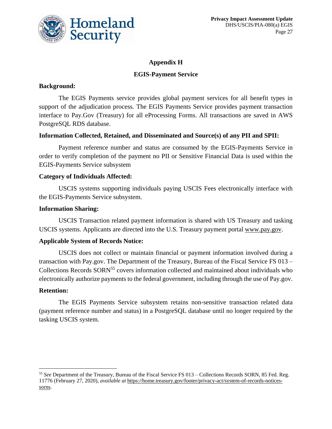

### **Appendix H**

### **EGIS-Payment Service**

### **Background:**

The EGIS Payments service provides global payment services for all benefit types in support of the adjudication process. The EGIS Payments Service provides payment transaction interface to Pay.Gov (Treasury) for all eProcessing Forms. All transactions are saved in AWS PostgreSQL RDS database.

### **Information Collected, Retained, and Disseminated and Source(s) of any PII and SPII:**

Payment reference number and status are consumed by the EGIS-Payments Service in order to verify completion of the payment no PII or Sensitive Financial Data is used within the EGIS-Payments Service subsystem

### **Category of Individuals Affected:**

USCIS systems supporting individuals paying USCIS Fees electronically interface with the EGIS-Payments Service subsystem.

### **Information Sharing:**

USCIS Transaction related payment information is shared with US Treasury and tasking USCIS systems. Applicants are directed into the U.S. Treasury payment portal [www.pay.gov.](http://www.pay.gov/)

### **Applicable System of Records Notice:**

USCIS does not collect or maintain financial or payment information involved during a transaction with Pay.gov. The Department of the Treasury, Bureau of the Fiscal Service FS 013 – Collections Records SORN<sup>55</sup> covers information collected and maintained about individuals who electronically authorize payments to the federal government, including through the use of Pay.gov.

### **Retention:**

The EGIS Payments Service subsystem retains non-sensitive transaction related data (payment reference number and status) in a PostgreSQL database until no longer required by the tasking USCIS system.

<sup>55</sup> *See* Department of the Treasury, Bureau of the Fiscal Service FS 013 – Collections Records SORN, 85 Fed. Reg. 11776 (February 27, 2020), *available at* [https://home.treasury.gov/footer/privacy-act/system-of-records-notices](https://home.treasury.gov/footer/privacy-act/system-of-records-notices-sorns)[sorns.](https://home.treasury.gov/footer/privacy-act/system-of-records-notices-sorns)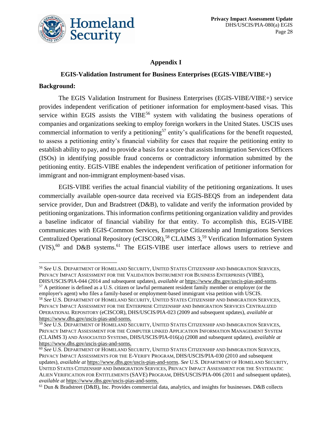

# **Appendix I**

# **EGIS-Validation Instrument for Business Enterprises (EGIS-VIBE/VIBE+)**

### **Background:**

The EGIS Validation Instrument for Business Enterprises (EGIS-VIBE/VIBE+) service provides independent verification of petitioner information for employment-based visas. This service within EGIS assists the  $VIBE<sup>56</sup>$  system with validating the business operations of companies and organizations seeking to employ foreign workers in the United States. USCIS uses commercial information to verify a petitioning<sup>57</sup> entity's qualifications for the benefit requested, to assess a petitioning entity's financial viability for cases that require the petitioning entity to establish ability to pay, and to provide a basis for a score that assists Immigration Services Officers (ISOs) in identifying possible fraud concerns or contradictory information submitted by the petitioning entity. EGIS-VIBE enables the independent verification of petitioner information for immigrant and non-immigrant employment-based visas.

EGIS-VIBE verifies the actual financial viability of the petitioning organizations. It uses commercially available open-source data received via EGIS-BEQS from an independent data service provider, Dun and Bradstreet (D&B), to validate and verify the information provided by petitioning organizations. This information confirms petitioning organization validity and provides a baseline indicator of financial viability for that entity. To accomplish this, EGIS-VIBE communicates with EGIS-Common Services, Enterprise Citizenship and Immigrations Services Centralized Operational Repository (eCISCOR),<sup>58</sup> CLAIMS 3,<sup>59</sup> Verification Information System  $(VIS)$ ,<sup>60</sup> and D&B systems.<sup>61</sup> The EGIS-VIBE user interface allows users to retrieve and

<sup>56</sup> *See* U.S. DEPARTMENT OF HOMELAND SECURITY, UNITED STATES CITIZENSHIP AND IMMIGRATION SERVICES, PRIVACY IMPACT ASSESSMENT FOR THE VALIDATION INSTRUMENT FOR BUSINESS ENTERPRISES (VIBE), DHS/USCIS/PIA-044 (2014 and subsequent updates), *available at* [https://www.dhs.gov/uscis-pias-and-sorns.](https://www.dhs.gov/uscis-pias-and-sorns)

<sup>&</sup>lt;sup>57</sup> A petitioner is defined as a U.S. citizen or lawful permanent resident family member or employer (or the employer's agent) who files a family-based or employment-based immigrant visa petition with USCIS.

<sup>58</sup> *See* U.S. DEPARTMENT OF HOMELAND SECURITY, UNITED STATES CITIZENSHIP AND IMMIGRATION SERVICES, PRIVACY IMPACT ASSESSMENT FOR THE ENTERPRISE CITIZENSHIP AND IMMIGRATION SERVICES CENTRALIZED OPERATIONAL REPOSITORY (eCISCOR), DHS/USCIS/PIA-023 (2009 and subsequent updates), *available at* [https://www.dhs.gov/uscis-pias-and-sorns.](https://www.dhs.gov/uscis-pias-and-sorns)

<sup>59</sup> *See* U.S. DEPARTMENT OF HOMELAND SECURITY, UNITED STATES CITIZENSHIP AND IMMIGRATION SERVICES, PRIVACY IMPACT ASSESSMENT FOR THE COMPUTER LINKED APPLICATION INFORMATION MANAGEMENT SYSTEM (CLAIMS 3) AND ASSOCIATED SYSTEMS, DHS/USCIS/PIA-016(a) (2008 and subsequent updates), *available at* [https://www.dhs.gov/uscis-pias-and-sorns.](https://www.dhs.gov/uscis-pias-and-sorns)

<sup>60</sup> *See* U.S. DEPARTMENT OF HOMELAND SECURITY, UNITED STATES CITIZENSHIP AND IMMIGRATION SERVICES, PRIVACY IMPACT ASSESSMENTS FOR THE E-VERIFY PROGRAM, DHS/USCIS/PIA-030 (2010 and subsequent updates), *available at* [https://www.dhs.gov/uscis-pias-and-sorns.](https://www.dhs.gov/uscis-pias-and-sorns) *See* U.S. DEPARTMENT OF HOMELAND SECURITY, UNITED STATES CITIZENSHIP AND IMMIGRATION SERVICES, PRIVACY IMPACT ASSESSMENT FOR THE SYSTEMATIC ALIEN VERIFICATION FOR ENTITLEMENTS (SAVE) PROGRAM, DHS/USCIS/PIA-006 (2011 and subsequent updates), *available at* [https://www.dhs.gov/uscis-pias-and-sorns.](https://www.dhs.gov/uscis-pias-and-sorns)

<sup>61</sup> Dun & Bradstreet (D&B), Inc. Provides commercial data, analytics, and insights for businesses. D&B collects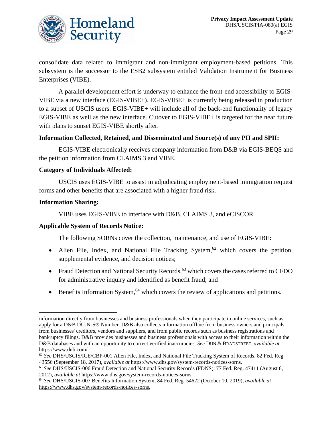

consolidate data related to immigrant and non-immigrant employment-based petitions. This subsystem is the successor to the ESB2 subsystem entitled Validation Instrument for Business Enterprises (VIBE).

A parallel development effort is underway to enhance the front-end accessibility to EGIS-VIBE via a new interface (EGIS-VIBE+). EGIS-VIBE+ is currently being released in production to a subset of USCIS users. EGIS-VIBE+ will include all of the back-end functionality of legacy EGIS-VIBE as well as the new interface. Cutover to EGIS-VIBE+ is targeted for the near future with plans to sunset EGIS-VIBE shortly after.

### **Information Collected, Retained, and Disseminated and Source(s) of any PII and SPII:**

EGIS-VIBE electronically receives company information from D&B via EGIS-BEQS and the petition information from CLAIMS 3 and VIBE.

### **Category of Individuals Affected:**

USCIS uses EGIS-VIBE to assist in adjudicating employment-based immigration request forms and other benefits that are associated with a higher fraud risk.

### **Information Sharing:**

VIBE uses EGIS-VIBE to interface with D&B, CLAIMS 3, and eCISCOR.

### **Applicable System of Records Notice:**

The following SORNs cover the collection, maintenance, and use of EGIS-VIBE:

- Alien File, Index, and National File Tracking System,<sup>62</sup> which covers the petition, supplemental evidence, and decision notices;
- Fraud Detection and National Security Records,  $^{63}$  which covers the cases referred to CFDO for administrative inquiry and identified as benefit fraud; and
- Benefits Information System, $64$  which covers the review of applications and petitions.

information directly from businesses and business professionals when they participate in online services, such as apply for a D&B DU-N-S® Number. D&B also collects information offline from business owners and principals, from businesses' creditors, vendors and suppliers, and from public records such as business registrations and bankruptcy filings. D&B provides businesses and business professionals with access to their information within the D&B databases and with an opportunity to correct verified inaccuracies. *See* DUN & BRADSTREET, *available at*  [https://www.dnb.com/.](https://www.dnb.com/)

<sup>62</sup> *See* DHS/USCIS/ICE/CBP-001 Alien File, Index, and National File Tracking System of Records, 82 Fed. Reg. 43556 (September 18, 2017), *available at* [https://www.dhs.gov/system-records-notices-sorns.](https://www.dhs.gov/system-records-notices-sorns)

<sup>63</sup> *See* DHS/USCIS-006 Fraud Detection and National Security Records (FDNS), 77 Fed. Reg. 47411 (August 8, 2012), *available at* [https://www.dhs.gov/system-records-notices-sorns.](https://www.dhs.gov/system-records-notices-sorns)

<sup>64</sup> *See* DHS/USCIS-007 Benefits Information System, 84 Fed. Reg. 54622 (October 10, 2019), *available at* [https://www.dhs.gov/system-records-notices-sorns.](https://www.dhs.gov/system-records-notices-sorns)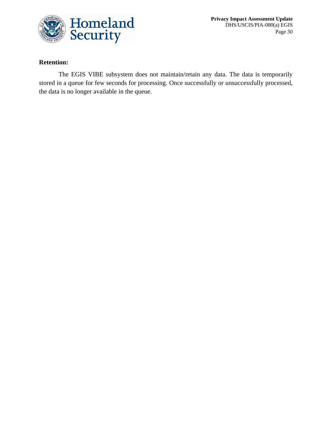

**Privacy Impact Assessment Update** DHS/USCIS/PIA-080(a) EGIS Page 30

### **Retention:**

The EGIS VIBE subsystem does not maintain/retain any data. The data is temporarily stored in a queue for few seconds for processing. Once successfully or unsuccessfully processed, the data is no longer available in the queue.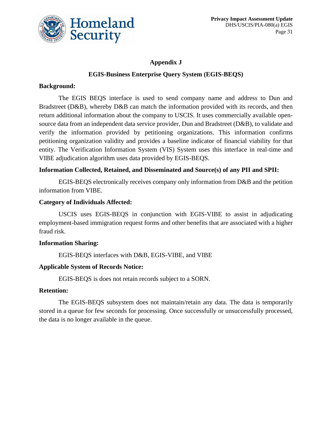

# **Appendix J**

# **EGIS-Business Enterprise Query System (EGIS-BEQS)**

### **Background:**

The EGIS BEQS interface is used to send company name and address to Dun and Bradstreet (D&B), whereby D&B can match the information provided with its records, and then return additional information about the company to USCIS. It uses commercially available opensource data from an independent data service provider, Dun and Bradstreet (D&B), to validate and verify the information provided by petitioning organizations. This information confirms petitioning organization validity and provides a baseline indicator of financial viability for that entity. The Verification Information System (VIS) System uses this interface in real-time and VIBE adjudication algorithm uses data provided by EGIS-BEQS.

# **Information Collected, Retained, and Disseminated and Source(s) of any PII and SPII:**

EGIS-BEQS electronically receives company only information from D&B and the petition information from VIBE.

### **Category of Individuals Affected:**

USCIS uses EGIS-BEQS in conjunction with EGIS-VIBE to assist in adjudicating employment-based immigration request forms and other benefits that are associated with a higher fraud risk.

### **Information Sharing:**

EGIS-BEQS interfaces with D&B, EGIS-VIBE, and VIBE

### **Applicable System of Records Notice:**

EGIS-BEQS is does not retain records subject to a SORN.

### **Retention:**

The EGIS-BEQS subsystem does not maintain/retain any data. The data is temporarily stored in a queue for few seconds for processing. Once successfully or unsuccessfully processed, the data is no longer available in the queue.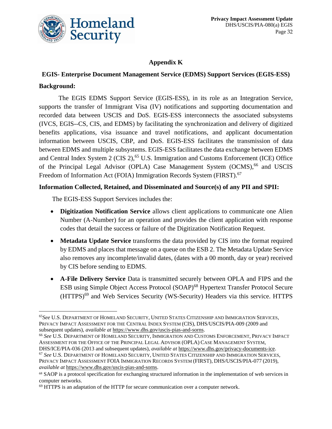

# **Appendix K**

# **EGIS- Enterprise Document Management Service (EDMS) Support Services (EGIS-ESS) Background:**

The EGIS EDMS Support Service (EGIS-ESS), in its role as an Integration Service, supports the transfer of Immigrant Visa (IV) notifications and supporting documentation and recorded data between USCIS and DoS. EGIS-ESS interconnects the associated subsystems (IVCS, EGIS--CS, CIS, and EDMS) by facilitating the synchronization and delivery of digitized benefits applications, visa issuance and travel notifications, and applicant documentation information between USCIS, CBP, and DoS. EGIS-ESS facilitates the transmission of data between EDMS and multiple subsystems. EGIS-ESS facilitates the data exchange between EDMS and Central Index System 2 (CIS  $2$ ),<sup>65</sup> U.S. Immigration and Customs Enforcement (ICE) Office of the Principal Legal Advisor (OPLA) Case Management System (OCMS),<sup>66</sup> and USCIS Freedom of Information Act (FOIA) Immigration Records System (FIRST).<sup>67</sup>

# **Information Collected, Retained, and Disseminated and Source(s) of any PII and SPII:**

The EGIS-ESS Support Services includes the:

- **Digitization Notification Service** allows client applications to communicate one Alien Number (A-Number) for an operation and provides the client application with response codes that detail the success or failure of the Digitization Notification Request.
- **Metadata Update Service** transforms the data provided by CIS into the format required by EDMS and places that message on a queue on the ESB 2. The Metadata Update Service also removes any incomplete/invalid dates, (dates with a 00 month, day or year) received by CIS before sending to EDMS.
- **A-File Delivery Service** Data is transmitted securely between OPLA and FIPS and the ESB using Simple Object Access Protocol (SOAP)<sup>68</sup> Hypertext Transfer Protocol Secure (HTTPS)<sup>69</sup> and Web Services Security (WS-Security) Headers via this service. HTTPS

<sup>65</sup>*See* U.S. DEPARTMENT OF HOMELAND SECURITY, UNITED STATES CITIZENSHIP AND IMMIGRATION SERVICES, PRIVACY IMPACT ASSESSMENT FOR THE CENTRAL INDEX SYSTEM (CIS), DHS/USCIS/PIA-009 (2009 and subsequent updates), *available at* [https://www.dhs.gov/uscis-pias-and-sorns.](https://www.dhs.gov/uscis-pias-and-sorns)

<sup>66</sup> *See* U.S. DEPARTMENT OF HOMELAND SECURITY, IMMIGRATION AND CUSTOMS ENFORCEMENT, PRIVACY IMPACT ASSESSMENT FOR THE OFFICE OF THE PRINCIPAL LEGAL ADVISOR (OPLA) CASE MANAGEMENT SYSTEM,

DHS/ICE/PIA-036 (2013 and subsequent updates), *available at* [https://www.dhs.gov/privacy-documents-ice.](https://www.dhs.gov/privacy-documents-ice) <sup>67</sup> *See* U.S. DEPARTMENT OF HOMELAND SECURITY, UNITED STATES CITIZENSHIP AND IMMIGRATION SERVICES, PRIVACY IMPACT ASSESSMENT FOIA IMMIGRATION RECORDS SYSTEM (FIRST), DHS/USCIS/PIA-077 (2019), *available at* [https://www.dhs.gov/uscis-pias-and-sorns.](https://www.dhs.gov/uscis-pias-and-sorns)

<sup>68</sup> SAOP is a protocol specification for exchanging structured information in the implementation of web services in computer networks.

<sup>69</sup> HTTPS is an adaptation of the HTTP for secure communication over a computer network.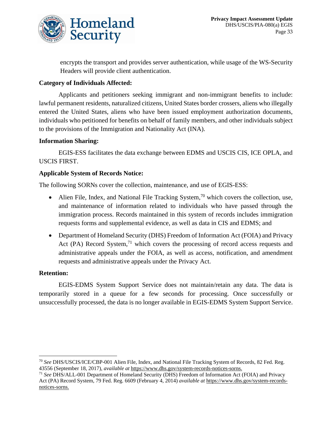

encrypts the transport and provides server authentication, while usage of the WS-Security Headers will provide client authentication.

### **Category of Individuals Affected:**

Applicants and petitioners seeking immigrant and non-immigrant benefits to include: lawful permanent residents, naturalized citizens, United States border crossers, aliens who illegally entered the United States, aliens who have been issued employment authorization documents, individuals who petitioned for benefits on behalf of family members, and other individuals subject to the provisions of the Immigration and Nationality Act (INA).

### **Information Sharing:**

EGIS-ESS facilitates the data exchange between EDMS and USCIS CIS, ICE OPLA, and USCIS FIRST.

### **Applicable System of Records Notice:**

The following SORNs cover the collection, maintenance, and use of EGIS-ESS:

- Alien File, Index, and National File Tracking System,<sup>70</sup> which covers the collection, use, and maintenance of information related to individuals who have passed through the immigration process. Records maintained in this system of records includes immigration requests forms and supplemental evidence, as well as data in CIS and EDMS; and
- Department of Homeland Security (DHS) Freedom of Information Act (FOIA) and Privacy Act (PA) Record System,<sup>71</sup> which covers the processing of record access requests and administrative appeals under the FOIA, as well as access, notification, and amendment requests and administrative appeals under the Privacy Act.

### **Retention:**

EGIS-EDMS System Support Service does not maintain/retain any data. The data is temporarily stored in a queue for a few seconds for processing. Once successfully or unsuccessfully processed, the data is no longer available in EGIS-EDMS System Support Service.

<sup>70</sup> *See* DHS/USCIS/ICE/CBP-001 Alien File, Index, and National File Tracking System of Records, 82 Fed. Reg. 43556 (September 18, 2017), *available at* [https://www.dhs.gov/system-records-notices-sorns.](https://www.dhs.gov/system-records-notices-sorns)

<sup>71</sup> *See* DHS/ALL-001 Department of Homeland Security (DHS) Freedom of Information Act (FOIA) and Privacy Act (PA) Record System, 79 Fed. Reg. 6609 (February 4, 2014) *available at* [https://www.dhs.gov/system-records](https://www.dhs.gov/system-records-notices-sorns)[notices-sorns.](https://www.dhs.gov/system-records-notices-sorns)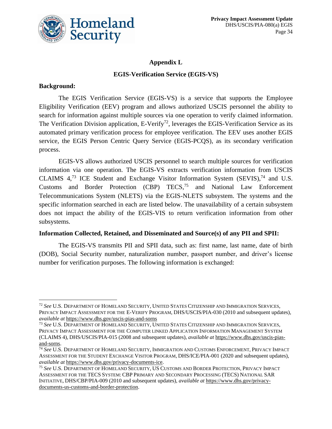

# **Appendix L EGIS-Verification Service (EGIS-VS)**

### **Background:**

The EGIS Verification Service (EGIS-VS) is a service that supports the Employee Eligibility Verification (EEV) program and allows authorized USCIS personnel the ability to search for information against multiple sources via one operation to verify claimed information. The Verification Division application, E-Verify<sup>72</sup>, leverages the EGIS-Verification Service as its automated primary verification process for employee verification. The EEV uses another EGIS service, the EGIS Person Centric Query Service (EGIS-PCQS), as its secondary verification process.

EGIS-VS allows authorized USCIS personnel to search multiple sources for verification information via one operation. The EGIS-VS extracts verification information from USCIS CLAIMS  $4^{73}$  ICE Student and Exchange Visitor Information System (SEVIS),  $^{74}$  and U.S. Customs and Border Protection (CBP) TECS,<sup>75</sup> and National Law Enforcement Telecommunications System (NLETS) via the EGIS-NLETS subsystem. The systems and the specific information searched in each are listed below. The unavailability of a certain subsystem does not impact the ability of the EGIS-VIS to return verification information from other subsystems.

### **Information Collected, Retained, and Disseminated and Source(s) of any PII and SPII:**

The EGIS-VS transmits PII and SPII data, such as: first name, last name, date of birth (DOB), Social Security number, naturalization number, passport number, and driver's license number for verification purposes. The following information is exchanged:

<sup>72</sup> *See* U.S. DEPARTMENT OF HOMELAND SECURITY, UNITED STATES CITIZENSHIP AND IMMIGRATION SERVICES, PRIVACY IMPACT ASSESSMENT FOR THE E-VERIFY PROGRAM, DHS/USCIS/PIA-030 (2010 and subsequent updates), *available at* <https://www.dhs.gov/uscis-pias-and-sorns>

<sup>73</sup> *See* U.S. DEPARTMENT OF HOMELAND SECURITY, UNITED STATES CITIZENSHIP AND IMMIGRATION SERVICES, PRIVACY IMPACT ASSESSMENT FOR THE COMPUTER LINKED APPLICATION INFORMATION MANAGEMENT SYSTEM (CLAIMS 4), DHS/USCIS/PIA-015 (2008 and subsequent updates), *available at* [https://www.dhs.gov/uscis-pias](https://www.dhs.gov/uscis-pias-and-sorns)[and-sorns.](https://www.dhs.gov/uscis-pias-and-sorns)

<sup>74</sup> *See* U.S. DEPARTMENT OF HOMELAND SECURITY, IMMIGRATION AND CUSTOMS ENFORCEMENT, PRIVACY IMPACT ASSESSMENT FOR THE STUDENT EXCHANGE VISITOR PROGRAM, DHS/ICE/PIA-001 (2020 and subsequent updates), *available at* [https://www.dhs.gov/privacy-documents-ice.](https://www.dhs.gov/privacy-documents-ice)

<sup>75</sup> *See* U.S. DEPARTMENT OF HOMELAND SECURITY, US CUSTOMS AND BORDER PROTECTION, PRIVACY IMPACT ASSESSMENT FOR THE TECS SYSTEM: CBP PRIMARY AND SECONDARY PROCESSING (TECS) NATIONAL SAR INITIATIVE, DHS/CBP/PIA-009 (2010 and subsequent updates), *available at* [https://www.dhs.gov/privacy](https://www.dhs.gov/privacy-documents-us-customs-and-border-protection)[documents-us-customs-and-border-protection.](https://www.dhs.gov/privacy-documents-us-customs-and-border-protection)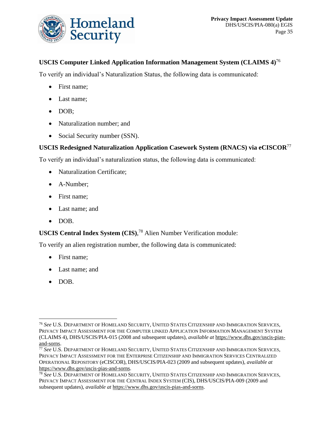

# **USCIS Computer Linked Application Information Management System (CLAIMS 4)**<sup>76</sup>

To verify an individual's Naturalization Status, the following data is communicated:

- First name;
- Last name;
- DOB;
- Naturalization number; and
- Social Security number (SSN).

# **USCIS Redesigned Naturalization Application Casework System (RNACS) via eCISCOR**<sup>77</sup>

To verify an individual's naturalization status, the following data is communicated:

- Naturalization Certificate;
- A-Number;
- First name;
- Last name; and
- DOB.

# **USCIS Central Index System (CIS)**, <sup>78</sup> Alien Number Verification module:

To verify an alien registration number, the following data is communicated:

- First name;
- Last name; and
- DOB.

<sup>76</sup> *See* U.S. DEPARTMENT OF HOMELAND SECURITY, UNITED STATES CITIZENSHIP AND IMMIGRATION SERVICES, PRIVACY IMPACT ASSESSMENT FOR THE COMPUTER LINKED APPLICATION INFORMATION MANAGEMENT SYSTEM (CLAIMS 4), DHS/USCIS/PIA-015 (2008 and subsequent updates), *available at* [https://www.dhs.gov/uscis-pias](https://www.dhs.gov/uscis-pias-and-sorns)[and-sorns.](https://www.dhs.gov/uscis-pias-and-sorns)

<sup>77</sup> *See* U.S. DEPARTMENT OF HOMELAND SECURITY, UNITED STATES CITIZENSHIP AND IMMIGRATION SERVICES, PRIVACY IMPACT ASSESSMENT FOR THE ENTERPRISE CITIZENSHIP AND IMMIGRATION SERVICES CENTRALIZED OPERATIONAL REPOSITORY (eCISCOR), DHS/USCIS/PIA-023 (2009 and subsequent updates), *available at* [https://www.dhs.gov/uscis-pias-and-sorns.](https://www.dhs.gov/uscis-pias-and-sorns)

<sup>78</sup> *See* U.S. DEPARTMENT OF HOMELAND SECURITY, UNITED STATES CITIZENSHIP AND IMMIGRATION SERVICES, PRIVACY IMPACT ASSESSMENT FOR THE CENTRAL INDEX SYSTEM (CIS), DHS/USCIS/PIA-009 (2009 and subsequent updates), *available at* [https://www.dhs.gov/uscis-pias-and-sorns.](https://www.dhs.gov/uscis-pias-and-sorns)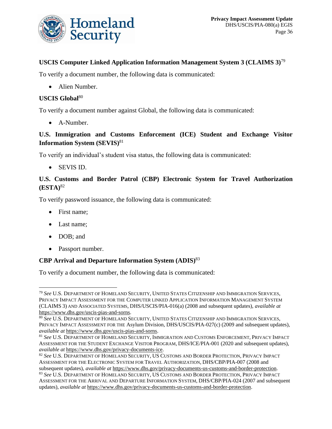

# **USCIS Computer Linked Application Information Management System 3 (CLAIMS 3)**<sup>79</sup>

To verify a document number, the following data is communicated:

• Alien Number.

### **USCIS Global**<sup>80</sup>

To verify a document number against Global, the following data is communicated:

• A-Number.

# **U.S. Immigration and Customs Enforcement (ICE) Student and Exchange Visitor Information System (SEVIS)**<sup>81</sup>

To verify an individual's student visa status, the following data is communicated:

• SEVIS ID.

# **U.S. Customs and Border Patrol (CBP) Electronic System for Travel Authorization (ESTA)**<sup>82</sup>

To verify password issuance, the following data is communicated:

- First name;
- Last name;
- DOB; and
- Passport number.

# **CBP Arrival and Departure Information System (ADIS)**<sup>83</sup>

To verify a document number, the following data is communicated:

<sup>79</sup> *See* U.S. DEPARTMENT OF HOMELAND SECURITY, UNITED STATES CITIZENSHIP AND IMMIGRATION SERVICES, PRIVACY IMPACT ASSESSMENT FOR THE COMPUTER LINKED APPLICATION INFORMATION MANAGEMENT SYSTEM (CLAIMS 3) AND ASSOCIATED SYSTEMS, DHS/USCIS/PIA-016(a) (2008 and subsequent updates), *available at* [https://www.dhs.gov/uscis-pias-and-sorns.](https://www.dhs.gov/uscis-pias-and-sorns)

<sup>80</sup> *See* U.S. DEPARTMENT OF HOMELAND SECURITY, UNITED STATES CITIZENSHIP AND IMMIGRATION SERVICES, PRIVACY IMPACT ASSESSMENT FOR THE Asylum Division, DHS/USCIS/PIA-027(c) (2009 and subsequent updates), *available at* [https://www.dhs.gov/uscis-pias-and-sorns.](https://www.dhs.gov/uscis-pias-and-sorns)

<sup>81</sup> *See* U.S. DEPARTMENT OF HOMELAND SECURITY, IMMIGRATION AND CUSTOMS ENFORCEMENT, PRIVACY IMPACT ASSESSMENT FOR THE STUDENT EXCHANGE VISITOR PROGRAM, DHS/ICE/PIA-001 (2020 and subsequent updates), *available at* [https://www.dhs.gov/privacy-documents-ice.](https://www.dhs.gov/privacy-documents-ice)

<sup>82</sup> *See* U.S. DEPARTMENT OF HOMELAND SECURITY, US CUSTOMS AND BORDER PROTECTION, PRIVACY IMPACT ASSESSMENT FOR THE ELECTRONIC SYSTEM FOR TRAVEL AUTHORIZATION, DHS/CBP/PIA-007 (2008 and subsequent updates), *available at* [https://www.dhs.gov/privacy-documents-us-customs-and-border-protection.](https://www.dhs.gov/privacy-documents-us-customs-and-border-protection)

<sup>83</sup> *See* U.S. DEPARTMENT OF HOMELAND SECURITY, US CUSTOMS AND BORDER PROTECTION, PRIVACY IMPACT ASSESSMENT FOR THE ARRIVAL AND DEPARTURE INFORMATION SYSTEM, DHS/CBP/PIA-024 (2007 and subsequent updates), *available at* [https://www.dhs.gov/privacy-documents-us-customs-and-border-protection.](https://www.dhs.gov/privacy-documents-us-customs-and-border-protection)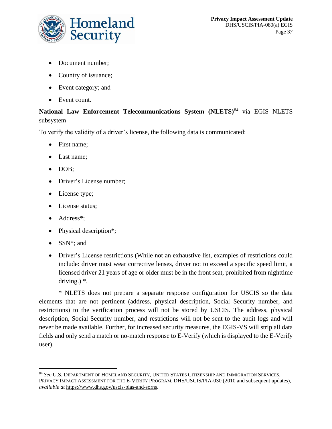

- Document number;
- Country of issuance;
- Event category; and
- Event count.

# **National Law Enforcement Telecommunications System (NLETS)**<sup>84</sup> via EGIS NLETS subsystem

To verify the validity of a driver's license, the following data is communicated:

- First name;
- Last name;
- DOB;
- Driver's License number;
- License type;
- License status;
- Address<sup>\*</sup>;
- Physical description\*;
- SSN\*; and
- Driver's License restrictions (While not an exhaustive list, examples of restrictions could include: driver must wear corrective lenses, driver not to exceed a specific speed limit, a licensed driver 21 years of age or older must be in the front seat, prohibited from nighttime driving.) \*.

\* NLETS does not prepare a separate response configuration for USCIS so the data elements that are not pertinent (address, physical description, Social Security number, and restrictions) to the verification process will not be stored by USCIS. The address, physical description, Social Security number, and restrictions will not be sent to the audit logs and will never be made available. Further, for increased security measures, the EGIS-VS will strip all data fields and only send a match or no-match response to E-Verify (which is displayed to the E-Verify user).

<sup>84</sup> *See* U.S. DEPARTMENT OF HOMELAND SECURITY, UNITED STATES CITIZENSHIP AND IMMIGRATION SERVICES, PRIVACY IMPACT ASSESSMENT FOR THE E-VERIFY PROGRAM, DHS/USCIS/PIA-030 (2010 and subsequent updates), *available at* [https://www.dhs.gov/uscis-pias-and-sorns.](https://www.dhs.gov/uscis-pias-and-sorns)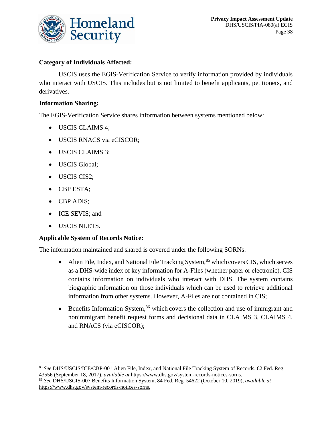

# **Category of Individuals Affected:**

USCIS uses the EGIS-Verification Service to verify information provided by individuals who interact with USCIS. This includes but is not limited to benefit applicants, petitioners, and derivatives.

### **Information Sharing:**

The EGIS-Verification Service shares information between systems mentioned below:

- USCIS CLAIMS 4;
- USCIS RNACS via eCISCOR;
- USCIS CLAIMS 3;
- USCIS Global;
- USCIS CIS2;
- CBP ESTA;
- CBP ADIS;
- ICE SEVIS; and
- USCIS NLETS.

### **Applicable System of Records Notice:**

The information maintained and shared is covered under the following SORNs:

- Alien File, Index, and National File Tracking System,<sup>85</sup> which covers CIS, which serves as a DHS-wide index of key information for A-Files (whether paper or electronic). CIS contains information on individuals who interact with DHS. The system contains biographic information on those individuals which can be used to retrieve additional information from other systems. However, A-Files are not contained in CIS;
- Benefits Information System,<sup>86</sup> which covers the collection and use of immigrant and nonimmigrant benefit request forms and decisional data in CLAIMS 3, CLAIMS 4, and RNACS (via eCISCOR);

<sup>85</sup> *See* DHS/USCIS/ICE/CBP-001 Alien File, Index, and National File Tracking System of Records, 82 Fed. Reg. 43556 (September 18, 2017), *available at* [https://www.dhs.gov/system-records-notices-sorns.](https://www.dhs.gov/system-records-notices-sorns)

<sup>86</sup> *See* DHS/USCIS-007 Benefits Information System, 84 Fed. Reg. 54622 (October 10, 2019), *available at* [https://www.dhs.gov/system-records-notices-sorns.](https://www.dhs.gov/system-records-notices-sorns)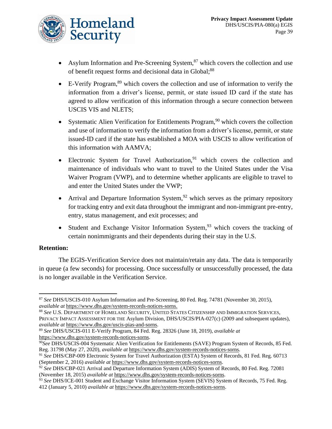

- Asylum Information and Pre-Screening System, $87$  which covers the collection and use of benefit request forms and decisional data in Global;<sup>88</sup>
- E-Verify Program,  $89$  which covers the collection and use of information to verify the information from a driver's license, permit, or state issued ID card if the state has agreed to allow verification of this information through a secure connection between USCIS VIS and NLETS;
- Systematic Alien Verification for Entitlements Program,  $90$  which covers the collection and use of information to verify the information from a driver's license, permit, or state issued-ID card if the state has established a MOA with USCIS to allow verification of this information with AAMVA;
- Electronic System for Travel Authorization,  $91$  which covers the collection and maintenance of individuals who want to travel to the United States under the Visa Waiver Program (VWP), and to determine whether applicants are eligible to travel to and enter the United States under the VWP;
- Arrival and Departure Information System,  $92$  which serves as the primary repository for tracking entry and exit data throughout the immigrant and non-immigrant pre-entry, entry, status management, and exit processes; and
- Student and Exchange Visitor Information System,  $93$  which covers the tracking of certain nonimmigrants and their dependents during their stay in the U.S.

### **Retention:**

The EGIS-Verification Service does not maintain/retain any data. The data is temporarily in queue (a few seconds) for processing. Once successfully or unsuccessfully processed, the data is no longer available in the Verification Service.

<sup>87</sup> *See* DHS/USCIS-010 Asylum Information and Pre-Screening, 80 Fed. Reg. 74781 (November 30, 2015), *available at* [https://www.dhs.gov/system-records-notices-sorns.](https://www.dhs.gov/system-records-notices-sorns)

<sup>88</sup> *See* U.S. DEPARTMENT OF HOMELAND SECURITY, UNITED STATES CITIZENSHIP AND IMMIGRATION SERVICES, PRIVACY IMPACT ASSESSMENT FOR THE Asylum Division, DHS/USCIS/PIA-027(c) (2009 and subsequent updates), *available at* [https://www.dhs.gov/uscis-pias-and-sorns.](https://www.dhs.gov/uscis-pias-and-sorns)

<sup>89</sup> *See* DHS/USCIS-011 E-Verify Program, 84 Fed. Reg. 28326 (June 18, 2019), *available at* [https://www.dhs.gov/system-records-notices-sorns.](https://www.dhs.gov/system-records-notices-sorns)

<sup>90</sup>*See* DHS/USCIS-004 Systematic Alien Verification for Entitlements (SAVE) Program System of Records, 85 Fed. Reg. 31798 (May 27, 2020), *available at* [https://www.dhs.gov/system-records-notices-sorns.](https://www.dhs.gov/system-records-notices-sorns)

<sup>91</sup> *See* DHS/CBP-009 Electronic System for Travel Authorization (ESTA) System of Records, 81 Fed. Reg. 60713 (September 2, 2016) *available at* [https://www.dhs.gov/system-records-notices-sorns.](https://www.dhs.gov/system-records-notices-sorns)

<sup>92</sup> *See* DHS/CBP-021 Arrival and Departure Information System (ADIS) System of Records, 80 Fed. Reg. 72081 (November 18, 2015) *available at* [https://www.dhs.gov/system-records-notices-sorns.](https://www.dhs.gov/system-records-notices-sorns)

<sup>&</sup>lt;sup>93</sup> See DHS/ICE-001 Student and Exchange Visitor Information System (SEVIS) System of Records, 75 Fed. Reg. 412 (January 5, 2010) *available at* [https://www.dhs.gov/system-records-notices-sorns.](https://www.dhs.gov/system-records-notices-sorns)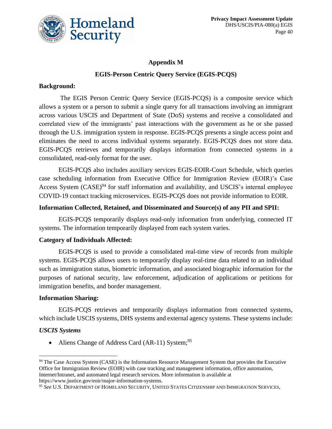

# **Appendix M EGIS-Person Centric Query Service (EGIS-PCQS)**

### **Background:**

The EGIS Person Centric Query Service (EGIS-PCQS) is a composite service which allows a system or a person to submit a single query for all transactions involving an immigrant across various USCIS and Department of State (DoS) systems and receive a consolidated and correlated view of the immigrants' past interactions with the government as he or she passed through the U.S. immigration system in response. EGIS-PCQS presents a single access point and eliminates the need to access individual systems separately. EGIS-PCQS does not store data. EGIS-PCQS retrieves and temporarily displays information from connected systems in a consolidated, read-only format for the user.

EGIS-PCQS also includes auxiliary services EGIS-EOIR-Court Schedule, which queries case scheduling information from Executive Office for Immigration Review (EOIR)'s Case Access System (CASE)<sup>94</sup> for staff information and availability, and USCIS's internal employee COVID-19 contact tracking microservices. EGIS-PCQS does not provide information to EOIR.

### **Information Collected, Retained, and Disseminated and Source(s) of any PII and SPII:**

EGIS-PCQS temporarily displays read-only information from underlying, connected IT systems. The information temporarily displayed from each system varies.

### **Category of Individuals Affected:**

EGIS-PCQS is used to provide a consolidated real-time view of records from multiple systems. EGIS-PCQS allows users to temporarily display real-time data related to an individual such as immigration status, biometric information, and associated biographic information for the purposes of national security, law enforcement, adjudication of applications or petitions for immigration benefits, and border management.

### **Information Sharing:**

EGIS-PCQS retrieves and temporarily displays information from connected systems, which include USCIS systems, DHS systems and external agency systems. These systems include:

### *USCIS Systems*

• Aliens Change of Address Card  $(AR-11)$  System;<sup>95</sup>

<sup>&</sup>lt;sup>94</sup> The Case Access System (CASE) is the Information Resource Management System that provides the Executive Office for Immigration Review (EOIR) with case tracking and management information, office automation, Internet/Intranet, and automated legal research services. More information is available at https://www.justice.gov/eoir/major-information-systems.

<sup>95</sup> *See* U.S. DEPARTMENT OF HOMELAND SECURITY, UNITED STATES CITIZENSHIP AND IMMIGRATION SERVICES,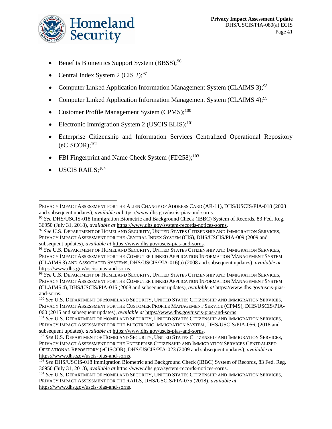

- Benefits Biometrics Support System (BBSS);<sup>96</sup>
- Central Index System 2 (CIS 2);  $97$
- Computer Linked Application Information Management System (CLAIMS 3);<sup>98</sup>
- Computer Linked Application Information Management System (CLAIMS 4);<sup>99</sup>
- Customer Profile Management System  $(CPMS)$ ;<sup>100</sup>
- Electronic Immigration System 2 (USCIS ELIS); $^{101}$
- Enterprise Citizenship and Information Services Centralized Operational Repository  $(eCISCOR);$ <sup>102</sup>
- FBI Fingerprint and Name Check System  $(FD258)$ ;<sup>103</sup>
- $\bullet$  USCIS RAILS;<sup>104</sup>

PRIVACY IMPACT ASSESSMENT FOR THE ALIEN CHANGE OF ADDRESS CARD (AR-11), DHS/USCIS/PIA-018 (2008 and subsequent updates), *available at* [https://www.dhs.gov/uscis-pias-and-sorns.](https://www.dhs.gov/uscis-pias-and-sorns)

<sup>96</sup> *See* DHS/USCIS-018 Immigration Biometric and Background Check (IBBC) System of Records, 83 Fed. Reg. 36950 (July 31, 2018), *available at* [https://www.dhs.gov/system-records-notices-sorns.](https://www.dhs.gov/system-records-notices-sorns)

<sup>97</sup> *See* U.S. DEPARTMENT OF HOMELAND SECURITY, UNITED STATES CITIZENSHIP AND IMMIGRATION SERVICES, PRIVACY IMPACT ASSESSMENT FOR THE CENTRAL INDEX SYSTEM (CIS), DHS/USCIS/PIA-009 (2009 and subsequent updates), *available at* [https://www.dhs.gov/uscis-pias-and-sorns.](https://www.dhs.gov/uscis-pias-and-sorns)

<sup>98</sup> *See* U.S. DEPARTMENT OF HOMELAND SECURITY, UNITED STATES CITIZENSHIP AND IMMIGRATION SERVICES, PRIVACY IMPACT ASSESSMENT FOR THE COMPUTER LINKED APPLICATION INFORMATION MANAGEMENT SYSTEM (CLAIMS 3) AND ASSOCIATED SYSTEMS, DHS/USCIS/PIA-016(a) (2008 and subsequent updates), *available at* [https://www.dhs.gov/uscis-pias-and-sorns.](https://www.dhs.gov/uscis-pias-and-sorns)

<sup>99</sup> *See* U.S. DEPARTMENT OF HOMELAND SECURITY, UNITED STATES CITIZENSHIP AND IMMIGRATION SERVICES, PRIVACY IMPACT ASSESSMENT FOR THE COMPUTER LINKED APPLICATION INFORMATION MANAGEMENT SYSTEM (CLAIMS 4), DHS/USCIS/PIA-015 (2008 and subsequent updates), *available at* [https://www.dhs.gov/uscis-pias](https://www.dhs.gov/uscis-pias-and-sorns)[and-sorns.](https://www.dhs.gov/uscis-pias-and-sorns)

<sup>100</sup> *See* U.S. DEPARTMENT OF HOMELAND SECURITY, UNITED STATES CITIZENSHIP AND IMMIGRATION SERVICES, PRIVACY IMPACT ASSESSMENT FOR THE CUSTOMER PROFILE MANAGEMENT SERVICE (CPMS), DHS/USCIS/PIA-060 (2015 and subsequent updates), *available at* [https://www.dhs.gov/uscis-pias-and-sorns.](https://www.dhs.gov/uscis-pias-and-sorns)

<sup>101</sup> *See* U.S. DEPARTMENT OF HOMELAND SECURITY, UNITED STATES CITIZENSHIP AND IMMIGRATION SERVICES, PRIVACY IMPACT ASSESSMENT FOR THE ELECTRONIC IMMIGRATION SYSTEM, DHS/USCIS/PIA-056, (2018 and subsequent updates), *available at* [https://www.dhs.gov/uscis-pias-and-sorns.](https://www.dhs.gov/uscis-pias-and-sorns)

<sup>102</sup> *See* U.S. DEPARTMENT OF HOMELAND SECURITY, UNITED STATES CITIZENSHIP AND IMMIGRATION SERVICES, PRIVACY IMPACT ASSESSMENT FOR THE ENTERPRISE CITIZENSHIP AND IMMIGRATION SERVICES CENTRALIZED OPERATIONAL REPOSITORY (eCISCOR), DHS/USCIS/PIA-023 (2009 and subsequent updates), *available at* [https://www.dhs.gov/uscis-pias-and-sorns.](https://www.dhs.gov/uscis-pias-and-sorns)

<sup>103</sup> *See* DHS/USCIS-018 Immigration Biometric and Background Check (IBBC) System of Records, 83 Fed. Reg. 36950 (July 31, 2018), *available at* [https://www.dhs.gov/system-records-notices-sorns.](https://www.dhs.gov/system-records-notices-sorns)

<sup>104</sup> *See* U.S. DEPARTMENT OF HOMELAND SECURITY, UNITED STATES CITIZENSHIP AND IMMIGRATION SERVICES, PRIVACY IMPACT ASSESSMENT FOR THE RAILS, DHS/USCIS/PIA-075 (2018)*, available at*  [https://www.dhs.gov/uscis-pias-and-sorns.](https://www.dhs.gov/uscis-pias-and-sorns)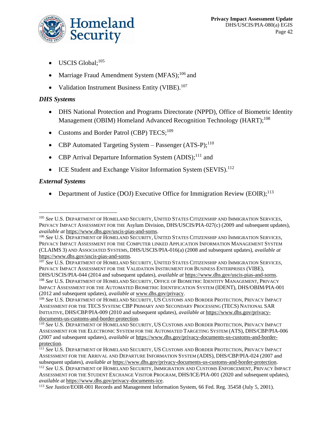

- USCIS Global;<sup>105</sup>
- Marriage Fraud Amendment System  $(MFAS)$ ;<sup>106</sup> and
- Validation Instrument Business Entity (VIBE).<sup>107</sup>

# *DHS Systems*

- DHS National Protection and Programs Directorate (NPPD), Office of Biometric Identity Management (OBIM) Homeland Advanced Recognition Technology (HART);<sup>108</sup>
- Customs and Border Patrol (CBP)  $TECS$ ;<sup>109</sup>
- CBP Automated Targeting System Passenger (ATS-P);<sup>110</sup>
- CBP Arrival Departure Information System  $(ADIS):<sup>111</sup>$  and
- ICE Student and Exchange Visitor Information System (SEVIS).<sup>112</sup>

# *External Systems*

• Department of Justice (DOJ) Executive Office for Immigration Review (EOIR);<sup>113</sup>

<sup>105</sup> *See* U.S. DEPARTMENT OF HOMELAND SECURITY, UNITED STATES CITIZENSHIP AND IMMIGRATION SERVICES, PRIVACY IMPACT ASSESSMENT FOR THE Asylum Division, DHS/USCIS/PIA-027(c) (2009 and subsequent updates), *available at* [https://www.dhs.gov/uscis-pias-and-sorns.](https://www.dhs.gov/uscis-pias-and-sorns)

<sup>106</sup> *See* U.S. DEPARTMENT OF HOMELAND SECURITY, UNITED STATES CITIZENSHIP AND IMMIGRATION SERVICES, PRIVACY IMPACT ASSESSMENT FOR THE COMPUTER LINKED APPLICATION INFORMATION MANAGEMENT SYSTEM (CLAIMS 3) AND ASSOCIATED SYSTEMS, DHS/USCIS/PIA-016(a) (2008 and subsequent updates), *available at* [https://www.dhs.gov/uscis-pias-and-sorns.](https://www.dhs.gov/uscis-pias-and-sorns)

<sup>107</sup> *See* U.S. DEPARTMENT OF HOMELAND SECURITY, UNITED STATES CITIZENSHIP AND IMMIGRATION SERVICES, PRIVACY IMPACT ASSESSMENT FOR THE VALIDATION INSTRUMENT FOR BUSINESS ENTERPRISES (VIBE),

DHS/USCIS/PIA-044 (2014 and subsequent updates), *available at* [https://www.dhs.gov/uscis-pias-and-sorns.](https://www.dhs.gov/uscis-pias-and-sorns) <sup>108</sup> *See* U.S. DEPARTMENT OF HOMELAND SECURITY, OFFICE OF BIOMETRIC IDENTITY MANAGEMENT, PRIVACY IMPACT ASSESSMENT FOR THE AUTOMATED BIOMETRIC IDENTIFICATION SYSTEM (IDENT), DHS/OBIM/PIA-001 (2012 and subsequent updates), *available at* [www.dhs.gov/privacy.](http://www.dhs.gov/privacy)

<sup>109</sup> *See* U.S. DEPARTMENT OF HOMELAND SECURITY, US CUSTOMS AND BORDER PROTECTION, PRIVACY IMPACT ASSESSMENT FOR THE TECS SYSTEM: CBP PRIMARY AND SECONDARY PROCESSING (TECS) NATIONAL SAR INITIATIVE, DHS/CBP/PIA-009 (2010 and subsequent updates), *available at* [https://www.dhs.gov/privacy](https://www.dhs.gov/privacy-documents-us-customs-and-border-protection)[documents-us-customs-and-border-protection.](https://www.dhs.gov/privacy-documents-us-customs-and-border-protection)

<sup>110</sup> *See* U.S. DEPARTMENT OF HOMELAND SECURITY, US CUSTOMS AND BORDER PROTECTION, PRIVACY IMPACT ASSESSMENT FOR THE ELECTRONIC SYSTEM FOR THE AUTOMATED TARGETING SYSTEM (ATS), DHS/CBP/PIA-006 (2007 and subsequent updates), *available at* [https://www.dhs.gov/privacy-documents-us-customs-and-border](https://www.dhs.gov/privacy-documents-us-customs-and-border-protection)[protection.](https://www.dhs.gov/privacy-documents-us-customs-and-border-protection)

<sup>111</sup> *See* U.S. DEPARTMENT OF HOMELAND SECURITY, US CUSTOMS AND BORDER PROTECTION, PRIVACY IMPACT ASSESSMENT FOR THE ARRIVAL AND DEPARTURE INFORMATION SYSTEM (ADIS), DHS/CBP/PIA-024 (2007 and subsequent updates), *available at* [https://www.dhs.gov/privacy-documents-us-customs-and-border-protection.](https://www.dhs.gov/privacy-documents-us-customs-and-border-protection) <sup>112</sup> *See* U.S. DEPARTMENT OF HOMELAND SECURITY, IMMIGRATION AND CUSTOMS ENFORCEMENT, PRIVACY IMPACT ASSESSMENT FOR THE STUDENT EXCHANGE VISITOR PROGRAM, DHS/ICE/PIA-001 (2020 and subsequent updates), *available at* [https://www.dhs.gov/privacy-documents-ice.](https://www.dhs.gov/privacy-documents-ice)

<sup>113</sup> *See* Justice/EOIR-001 Records and Management Information System, 66 Fed. Reg. 35458 (July 5, 2001).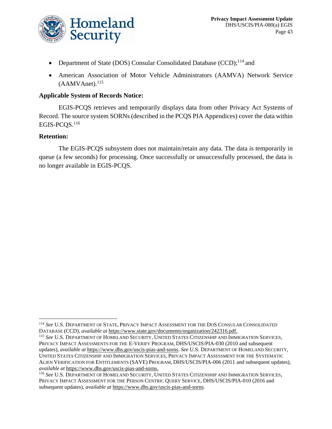

- Department of State (DOS) Consular Consolidated Database (CCD); $^{114}$  and
- American Association of Motor Vehicle Administrators (AAMVA) Network Service  $(AAMVAnet).<sup>115</sup>$

### **Applicable System of Records Notice:**

EGIS-PCQS retrieves and temporarily displays data from other Privacy Act Systems of Record. The source system SORNs (described in the PCQS PIA Appendices) cover the data within EGIS-PCOS.<sup>116</sup>

### **Retention:**

The EGIS-PCQS subsystem does not maintain/retain any data. The data is temporarily in queue (a few seconds) for processing. Once successfully or unsuccessfully processed, the data is no longer available in EGIS-PCQS.

<sup>114</sup> *See* U.S. DEPARTMENT OF STATE, PRIVACY IMPACT ASSESSMENT FOR THE DOS CONSULAR CONSOLIDATED DATABASE (CCD), *available at* [https://www.state.gov/documents/organization/242316.pdf.](https://www.state.gov/documents/organization/242316.pdf)

<sup>115</sup> *See* U.S. DEPARTMENT OF HOMELAND SECURITY, UNITED STATES CITIZENSHIP AND IMMIGRATION SERVICES, PRIVACY IMPACT ASSESSMENTS FOR THE E-VERIFY PROGRAM, DHS/USCIS/PIA-030 (2010 and subsequent updates), *available at* [https://www.dhs.gov/uscis-pias-and-sorns.](https://www.dhs.gov/uscis-pias-and-sorns) *See* U.S. DEPARTMENT OF HOMELAND SECURITY, UNITED STATES CITIZENSHIP AND IMMIGRATION SERVICES, PRIVACY IMPACT ASSESSMENT FOR THE SYSTEMATIC ALIEN VERIFICATION FOR ENTITLEMENTS (SAVE) PROGRAM, DHS/USCIS/PIA-006 (2011 and subsequent updates), *available at* [https://www.dhs.gov/uscis-pias-and-sorns.](https://www.dhs.gov/uscis-pias-and-sorns)

<sup>116</sup> *See* U.S. DEPARTMENT OF HOMELAND SECURITY, UNITED STATES CITIZENSHIP AND IMMIGRATION SERVICES, PRIVACY IMPACT ASSESSMENT FOR THE PERSON CENTRIC QUERY SERVICE, DHS/USCIS/PIA-010 (2016 and subsequent updates), *available at* [https://www.dhs.gov/uscis-pias-and-sorns.](https://www.dhs.gov/uscis-pias-and-sorns)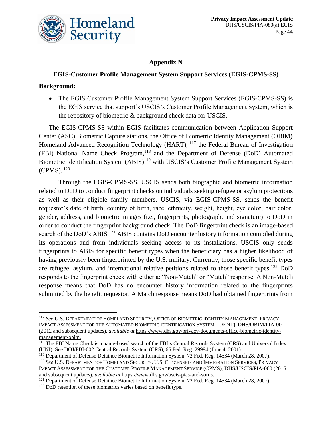

# **Appendix N**

# **EGIS-Customer Profile Management System Support Services (EGIS-CPMS-SS)**

### **Background:**

• The EGIS Customer Profile Management System Support Services (EGIS-CPMS-SS) is the EGIS service that support's USCIS's Customer Profile Management System, which is the repository of biometric & background check data for USCIS.

The EGIS-CPMS-SS within EGIS facilitates communication between Application Support Center (ASC) Biometric Capture stations, the Office of Biometric Identity Management (OBIM) Homeland Advanced Recognition Technology (HART), <sup>117</sup> the Federal Bureau of Investigation (FBI) National Name Check Program,<sup>118</sup> and the Department of Defense (DoD) Automated Biometric Identification System (ABIS)<sup>119</sup> with USCIS's Customer Profile Management System  $(CPMS).$ <sup>120</sup>

Through the EGIS-CPMS-SS, USCIS sends both biographic and biometric information related to DoD to conduct fingerprint checks on individuals seeking refugee or asylum protections as well as their eligible family members. USCIS, via EGIS-CPMS-SS, sends the benefit requestor's date of birth, country of birth, race, ethnicity, weight, height, eye color, hair color, gender, address, and biometric images (i.e., fingerprints, photograph, and signature) to DoD in order to conduct the fingerprint background check. The DoD fingerprint check is an image-based search of the DoD's ABIS.<sup>121</sup> ABIS contains DoD encounter history information compiled during its operations and from individuals seeking access to its installations. USCIS only sends fingerprints to ABIS for specific benefit types when the beneficiary has a higher likelihood of having previously been fingerprinted by the U.S. military. Currently, those specific benefit types are refugee, asylum, and international relative petitions related to those benefit types.<sup>122</sup> DoD responds to the fingerprint check with either a: "Non-Match" or "Match" response. A Non-Match response means that DoD has no encounter history information related to the fingerprints submitted by the benefit requestor. A Match response means DoD had obtained fingerprints from

<sup>117</sup> *See* U.S. DEPARTMENT OF HOMELAND SECURITY, OFFICE OF BIOMETRIC IDENTITY MANAGEMENT, PRIVACY IMPACT ASSESSMENT FOR THE AUTOMATED BIOMETRIC IDENTIFICATION SYSTEM (IDENT), DHS/OBIM/PIA-001 (2012 and subsequent updates), *available at* [https://www.dhs.gov/privacy-documents-office-biometric-identity](https://www.dhs.gov/privacy-documents-office-biometric-identity-management-obim)[management-obim.](https://www.dhs.gov/privacy-documents-office-biometric-identity-management-obim)

<sup>118</sup> The FBI Name Check is a name-based search of the FBI's Central Records System (CRS) and Universal Index (UNI). See DOJ/FBI-002 Central Records System (CRS), 66 Fed. Reg. 29994 (June 4, 2001).

<sup>&</sup>lt;sup>119</sup> Department of Defense Detainee Biometric Information System, 72 Fed. Reg. 14534 (March 28, 2007). <sup>120</sup> *See* U.S. DEPARTMENT OF HOMELAND SECURITY, U.S. CITIZENSHIP AND IMMIGRATION SERVICES, PRIVACY IMPACT ASSESSMENT FOR THE CUSTOMER PROFILE MANAGEMENT SERVICE (CPMS), DHS/USCIS/PIA-060 (2015 and subsequent updates), *available at* [https://www.dhs.gov/uscis-pias-and-sorns.](https://www.dhs.gov/uscis-pias-and-sorns)

<sup>&</sup>lt;sup>121</sup> Department of Defense Detainee Biometric Information System, 72 Fed. Reg. 14534 (March 28, 2007).

<sup>&</sup>lt;sup>122</sup> DoD retention of these biometrics varies based on benefit type.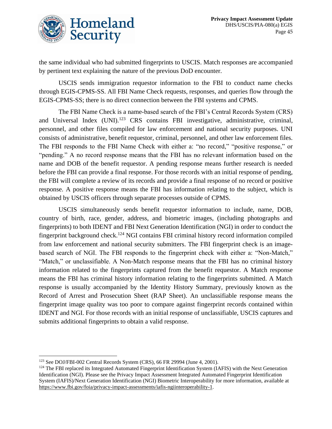

the same individual who had submitted fingerprints to USCIS. Match responses are accompanied by pertinent text explaining the nature of the previous DoD encounter.

USCIS sends immigration requestor information to the FBI to conduct name checks through EGIS-CPMS-SS. All FBI Name Check requests, responses, and queries flow through the EGIS-CPMS-SS; there is no direct connection between the FBI systems and CPMS.

The FBI Name Check is a name-based search of the FBI's Central Records System (CRS) and Universal Index (UNI).<sup>123</sup> CRS contains FBI investigative, administrative, criminal, personnel, and other files compiled for law enforcement and national security purposes. UNI consists of administrative, benefit requestor, criminal, personnel, and other law enforcement files. The FBI responds to the FBI Name Check with either a: "no record," "positive response," or "pending." A no record response means that the FBI has no relevant information based on the name and DOB of the benefit requestor. A pending response means further research is needed before the FBI can provide a final response. For those records with an initial response of pending, the FBI will complete a review of its records and provide a final response of no record or positive response. A positive response means the FBI has information relating to the subject, which is obtained by USCIS officers through separate processes outside of CPMS.

USCIS simultaneously sends benefit requestor information to include, name, DOB, country of birth, race, gender, address, and biometric images, (including photographs and fingerprints) to both IDENT and FBI Next Generation Identification (NGI) in order to conduct the fingerprint background check.<sup>124</sup> NGI contains FBI criminal history record information compiled from law enforcement and national security submitters. The FBI fingerprint check is an imagebased search of NGI. The FBI responds to the fingerprint check with either a: "Non-Match," "Match," or unclassifiable. A Non-Match response means that the FBI has no criminal history information related to the fingerprints captured from the benefit requestor. A Match response means the FBI has criminal history information relating to the fingerprints submitted. A Match response is usually accompanied by the Identity History Summary, previously known as the Record of Arrest and Prosecution Sheet (RAP Sheet). An unclassifiable response means the fingerprint image quality was too poor to compare against fingerprint records contained within IDENT and NGI. For those records with an initial response of unclassifiable, USCIS captures and submits additional fingerprints to obtain a valid response.

<sup>123</sup> See DOJ/FBI-002 Central Records System (CRS), 66 FR 29994 (June 4, 2001).

<sup>&</sup>lt;sup>124</sup> The FBI replaced its Integrated Automated Fingerprint Identification System (IAFIS) with the Next Generation Identification (NGI). Please see the Privacy Impact Assessment Integrated Automated Fingerprint Identification System (IAFIS)/Next Generation Identification (NGI) Biometric Interoperability for more information, available at [https://www.fbi.gov/foia/privacy-impact-assessments/iafis-ngiinteroperability-1.](https://www.fbi.gov/foia/privacy-impact-assessments/iafis-ngiinteroperability-1)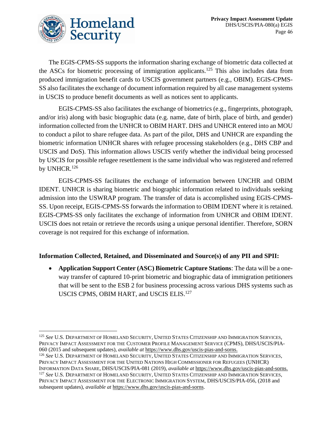

The EGIS-CPMS-SS supports the information sharing exchange of biometric data collected at the ASCs for biometric processing of immigration applicants.<sup>125</sup> This also includes data from produced immigration benefit cards to USCIS government partners (e.g., OBIM). EGIS-CPMS-SS also facilitates the exchange of document information required by all case management systems in USCIS to produce benefit documents as well as notices sent to applicants.

EGIS-CPMS-SS also facilitates the exchange of biometrics (e.g., fingerprints, photograph, and/or iris) along with basic biographic data (e.g. name, date of birth, place of birth, and gender) information collected from the UNHCR to OBIM HART. DHS and UNHCR entered into an MOU to conduct a pilot to share refugee data. As part of the pilot, DHS and UNHCR are expanding the biometric information UNHCR shares with refugee processing stakeholders (e.g., DHS CBP and USCIS and DoS). This information allows USCIS verify whether the individual being processed by USCIS for possible refugee resettlement is the same individual who was registered and referred by UNHCR.<sup>126</sup>

EGIS-CPMS-SS facilitates the exchange of information between UNCHR and OBIM IDENT. UNHCR is sharing biometric and biographic information related to individuals seeking admission into the USWRAP program. The transfer of data is accomplished using EGIS-CPMS-SS. Upon receipt, EGIS-CPMS-SS forwards the information to OBIM IDENT where it is retained. EGIS-CPMS-SS only facilitates the exchange of information from UNHCR and OBIM IDENT. USCIS does not retain or retrieve the records using a unique personal identifier. Therefore, SORN coverage is not required for this exchange of information.

# **Information Collected, Retained, and Disseminated and Source(s) of any PII and SPII:**

• **Application Support Center (ASC) Biometric Capture Stations**: The data will be a oneway transfer of captured 10-print biometric and biographic data of immigration petitioners that will be sent to the ESB 2 for business processing across various DHS systems such as USCIS CPMS, OBIM HART, and USCIS ELIS.<sup>127</sup>

<sup>125</sup> *See* U.S. DEPARTMENT OF HOMELAND SECURITY, UNITED STATES CITIZENSHIP AND IMMIGRATION SERVICES, PRIVACY IMPACT ASSESSMENT FOR THE CUSTOMER PROFILE MANAGEMENT SERVICE (CPMS), DHS/USCIS/PIA-060 (2015 and subsequent updates), *available at* [https://www.dhs.gov/uscis-pias-and-sorns.](https://www.dhs.gov/uscis-pias-and-sorns)

<sup>126</sup> *See* U.S. DEPARTMENT OF HOMELAND SECURITY, UNITED STATES CITIZENSHIP AND IMMIGRATION SERVICES, PRIVACY IMPACT ASSESSMENT FOR THE UNITED NATIONS HIGH COMMISSIONER FOR REFUGEES (UNHCR) INFORMATION DATA SHARE, DHS/USCIS/PIA-081 (2019), *available at* [https://www.dhs.gov/uscis-pias-and-sorns.](https://www.dhs.gov/uscis-pias-and-sorns) <sup>127</sup> *See* U.S. DEPARTMENT OF HOMELAND SECURITY, UNITED STATES CITIZENSHIP AND IMMIGRATION SERVICES,

PRIVACY IMPACT ASSESSMENT FOR THE ELECTRONIC IMMIGRATION SYSTEM, DHS/USCIS/PIA-056, (2018 and subsequent updates), *available at* [https://www.dhs.gov/uscis-pias-and-sorns.](https://www.dhs.gov/uscis-pias-and-sorns)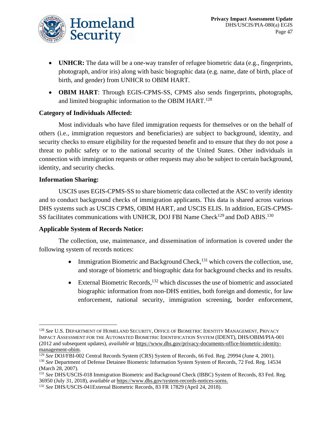

- **UNHCR:** The data will be a one-way transfer of refugee biometric data (e.g., fingerprints, photograph, and/or iris) along with basic biographic data (e.g. name, date of birth, place of birth, and gender) from UNHCR to OBIM HART.
- **OBIM HART**: Through EGIS-CPMS-SS, CPMS also sends fingerprints, photographs, and limited biographic information to the OBIM HART.<sup>128</sup>

### **Category of Individuals Affected:**

Most individuals who have filed immigration requests for themselves or on the behalf of others (i.e., immigration requestors and beneficiaries) are subject to background, identity, and security checks to ensure eligibility for the requested benefit and to ensure that they do not pose a threat to public safety or to the national security of the United States. Other individuals in connection with immigration requests or other requests may also be subject to certain background, identity, and security checks.

### **Information Sharing:**

USCIS uses EGIS-CPMS-SS to share biometric data collected at the ASC to verify identity and to conduct background checks of immigration applicants. This data is shared across various DHS systems such as USCIS CPMS, OBIM HART, and USCIS ELIS. In addition, EGIS-CPMS-SS facilitates communications with UNHCR, DOJ FBI Name Check<sup>129</sup> and DoD ABIS.<sup>130</sup>

### **Applicable System of Records Notice:**

The collection, use, maintenance, and dissemination of information is covered under the following system of records notices:

- Immigration Biometric and Background Check,  $131$  which covers the collection, use, and storage of biometric and biographic data for background checks and its results.
- External Biometric Records,  $^{132}$  which discusses the use of biometric and associated biographic information from non-DHS entities, both foreign and domestic, for law enforcement, national security, immigration screening, border enforcement,

<sup>128</sup> *See* U.S. DEPARTMENT OF HOMELAND SECURITY, OFFICE OF BIOMETRIC IDENTITY MANAGEMENT, PRIVACY IMPACT ASSESSMENT FOR THE AUTOMATED BIOMETRIC IDENTIFICATION SYSTEM (IDENT), DHS/OBIM/PIA-001 (2012 and subsequent updates), *available at* [https://www.dhs.gov/privacy-documents-office-biometric-identity](https://www.dhs.gov/privacy-documents-office-biometric-identity-management-obim)[management-obim.](https://www.dhs.gov/privacy-documents-office-biometric-identity-management-obim)

<sup>129</sup> *See* DOJ/FBI-002 Central Records System (CRS) System of Records, 66 Fed. Reg. 29994 (June 4, 2001).

<sup>&</sup>lt;sup>130</sup> See Department of Defense Detainee Biometric Information System System of Records, 72 Fed. Reg. 14534 (March 28, 2007).

<sup>&</sup>lt;sup>131</sup> See DHS/USCIS-018 Immigration Biometric and Background Check (IBBC) System of Records, 83 Fed. Reg. 36950 (July 31, 2018), *available at* [https://www.dhs.gov/system-records-notices-sorns.](https://www.dhs.gov/system-records-notices-sorns)

<sup>132</sup> *See* DHS/USCIS-041External Biometric Records, 83 FR 17829 (April 24, 2018).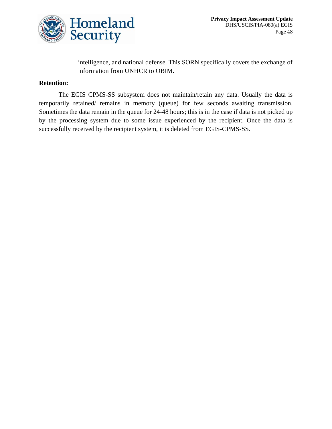

# intelligence, and national defense. This SORN specifically covers the exchange of information from UNHCR to OBIM.

### **Retention:**

The EGIS CPMS-SS subsystem does not maintain/retain any data. Usually the data is temporarily retained/ remains in memory (queue) for few seconds awaiting transmission. Sometimes the data remain in the queue for 24-48 hours; this is in the case if data is not picked up by the processing system due to some issue experienced by the recipient. Once the data is successfully received by the recipient system, it is deleted from EGIS-CPMS-SS.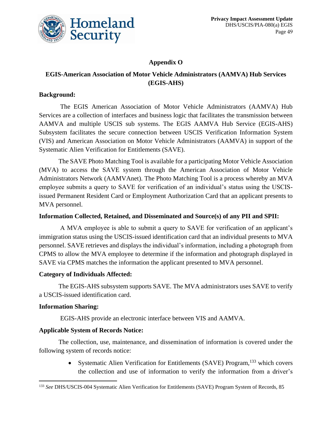

# **Appendix O**

# **EGIS-American Association of Motor Vehicle Administrators (AAMVA) Hub Services (EGIS-AHS)**

### **Background:**

The EGIS American Association of Motor Vehicle Administrators (AAMVA) Hub Services are a collection of interfaces and business logic that facilitates the transmission between AAMVA and multiple USCIS sub systems. The EGIS AAMVA Hub Service (EGIS-AHS) Subsystem facilitates the secure connection between USCIS Verification Information System (VIS) and American Association on Motor Vehicle Administrators (AAMVA) in support of the Systematic Alien Verification for Entitlements (SAVE).

The SAVE Photo Matching Tool is available for a participating Motor Vehicle Association (MVA) to access the SAVE system through the American Association of Motor Vehicle Administrators Network (AAMVAnet). The Photo Matching Tool is a process whereby an MVA employee submits a query to SAVE for verification of an individual's status using the USCISissued Permanent Resident Card or Employment Authorization Card that an applicant presents to MVA personnel.

### **Information Collected, Retained, and Disseminated and Source(s) of any PII and SPII:**

A MVA employee is able to submit a query to SAVE for verification of an applicant's immigration status using the USCIS-issued identification card that an individual presents to MVA personnel. SAVE retrieves and displays the individual's information, including a photograph from CPMS to allow the MVA employee to determine if the information and photograph displayed in SAVE via CPMS matches the information the applicant presented to MVA personnel.

### **Category of Individuals Affected:**

The EGIS-AHS subsystem supports SAVE. The MVA administrators uses SAVE to verify a USCIS-issued identification card.

### **Information Sharing:**

EGIS-AHS provide an electronic interface between VIS and AAMVA.

### **Applicable System of Records Notice:**

The collection, use, maintenance, and dissemination of information is covered under the following system of records notice:

> • Systematic Alien Verification for Entitlements (SAVE) Program,<sup>133</sup> which covers the collection and use of information to verify the information from a driver's

<sup>133</sup> *See* DHS/USCIS-004 Systematic Alien Verification for Entitlements (SAVE) Program System of Records, 85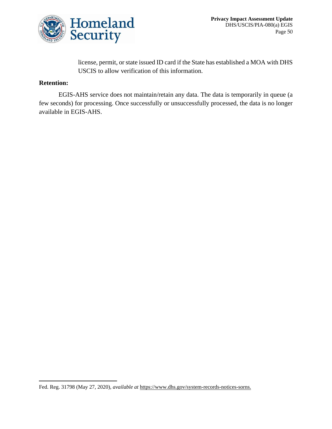

license, permit, or state issued ID card if the State has established a MOA with DHS USCIS to allow verification of this information.

### **Retention:**

EGIS-AHS service does not maintain/retain any data. The data is temporarily in queue (a few seconds) for processing. Once successfully or unsuccessfully processed, the data is no longer available in EGIS-AHS.

Fed. Reg. 31798 (May 27, 2020), *available at* [https://www.dhs.gov/system-records-notices-sorns.](https://www.dhs.gov/system-records-notices-sorns)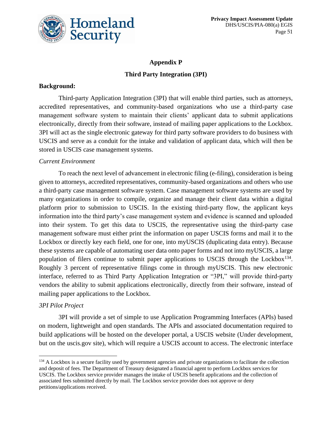

# **Appendix P Third Party Integration (3PI)**

### **Background:**

Third-party Application Integration (3PI) that will enable third parties, such as attorneys, accredited representatives, and community-based organizations who use a third-party case management software system to maintain their clients' applicant data to submit applications electronically, directly from their software, instead of mailing paper applications to the Lockbox. 3PI will act as the single electronic gateway for third party software providers to do business with USCIS and serve as a conduit for the intake and validation of applicant data, which will then be stored in USCIS case management systems.

### *Current Environment*

To reach the next level of advancement in electronic filing (e-filing), consideration is being given to attorneys, accredited representatives, community-based organizations and others who use a third-party case management software system. Case management software systems are used by many organizations in order to compile, organize and manage their client data within a digital platform prior to submission to USCIS. In the existing third-party flow, the applicant keys information into the third party's case management system and evidence is scanned and uploaded into their system. To get this data to USCIS, the representative using the third-party case management software must either print the information on paper USCIS forms and mail it to the Lockbox or directly key each field, one for one, into myUSCIS (duplicating data entry). Because these systems are capable of automating user data onto paper forms and not into myUSCIS, a large population of filers continue to submit paper applications to USCIS through the Lockbox<sup>134</sup>. Roughly 3 percent of representative filings come in through myUSCIS. This new electronic interface, referred to as Third Party Application Integration or "3PI," will provide third-party vendors the ability to submit applications electronically, directly from their software, instead of mailing paper applications to the Lockbox.

### *3PI Pilot Project*

3PI will provide a set of simple to use Application Programming Interfaces (APIs) based on modern, lightweight and open standards. The APIs and associated documentation required to build applications will be hosted on the developer portal, a USCIS website (Under development, but on the uscis.gov site), which will require a USCIS account to access. The electronic interface

<sup>&</sup>lt;sup>134</sup> A Lockbox is a secure facility used by government agencies and private organizations to facilitate the collection and deposit of fees. The Department of Treasury designated a financial agent to perform Lockbox services for USCIS. The Lockbox service provider manages the intake of USCIS benefit applications and the collection of associated fees submitted directly by mail. The Lockbox service provider does not approve or deny petitions/applications received.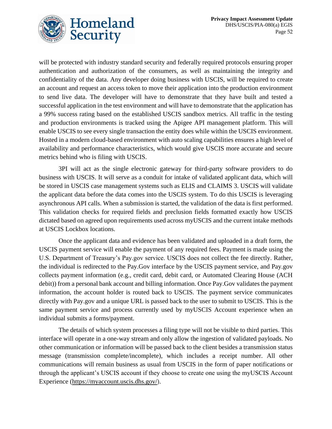



will be protected with industry standard security and federally required protocols ensuring proper authentication and authorization of the consumers, as well as maintaining the integrity and confidentiality of the data. Any developer doing business with USCIS, will be required to create an account and request an access token to move their application into the production environment to send live data. The developer will have to demonstrate that they have built and tested a successful application in the test environment and will have to demonstrate that the application has a 99% success rating based on the established USCIS sandbox metrics. All traffic in the testing and production environments is tracked using the Apigee API management platform. This will enable USCIS to see every single transaction the entity does while within the USCIS environment. Hosted in a modern cloud-based environment with auto scaling capabilities ensures a high level of availability and performance characteristics, which would give USCIS more accurate and secure metrics behind who is filing with USCIS.

3PI will act as the single electronic gateway for third-party software providers to do business with USCIS. It will serve as a conduit for intake of validated applicant data, which will be stored in USCIS case management systems such as ELIS and CLAIMS 3. USCIS will validate the applicant data before the data comes into the USCIS system. To do this USCIS is leveraging asynchronous API calls. When a submission is started, the validation of the data is first performed. This validation checks for required fields and preclusion fields formatted exactly how USCIS dictated based on agreed upon requirements used across myUSCIS and the current intake methods at USCIS Lockbox locations.

Once the applicant data and evidence has been validated and uploaded in a draft form, the USCIS payment service will enable the payment of any required fees. Payment is made using the U.S. Department of Treasury's Pay.gov service. USCIS does not collect the fee directly. Rather, the individual is redirected to the Pay.Gov interface by the USCIS payment service, and Pay.gov collects payment information (e.g., credit card, debit card, or Automated Clearing House (ACH debit)) from a personal bank account and billing information. Once Pay.Gov validates the payment information, the account holder is routed back to USCIS. The payment service communicates directly with Pay.gov and a unique URL is passed back to the user to submit to USCIS. This is the same payment service and process currently used by myUSCIS Account experience when an individual submits a forms/payment.

The details of which system processes a filing type will not be visible to third parties. This interface will operate in a one-way stream and only allow the ingestion of validated payloads. No other communication or information will be passed back to the client besides a transmission status message (transmission complete/incomplete), which includes a receipt number. All other communications will remain business as usual from USCIS in the form of paper notifications or through the applicant's USCIS account if they choose to create one using the myUSCIS Account Experience [\(https://myaccount.uscis.dhs.gov/\)](https://myaccount.uscis.dhs.gov/).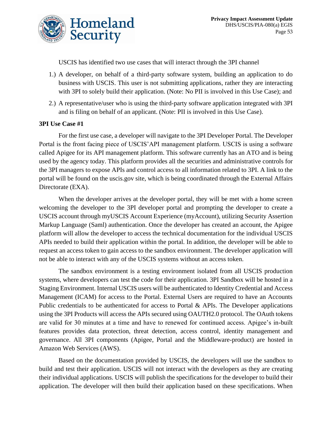USCIS has identified two use cases that will interact through the 3PI channel

- 1.) A developer, on behalf of a third-party software system, building an application to do business with USCIS. This user is not submitting applications, rather they are interacting with 3PI to solely build their application. (Note: No PII is involved in this Use Case); and
- 2.) A representative/user who is using the third-party software application integrated with 3PI and is filing on behalf of an applicant. (Note: PII is involved in this Use Case).

# **3PI Use Case #1**

For the first use case, a developer will navigate to the 3PI Developer Portal. The Developer Portal is the front facing piece of USCIS'API management platform. USCIS is using a software called Apigee for its API management platform. This software currently has an ATO and is being used by the agency today. This platform provides all the securities and administrative controls for the 3PI managers to expose APIs and control access to all information related to 3PI. A link to the portal will be found on the uscis.gov site, which is being coordinated through the External Affairs Directorate (EXA).

When the developer arrives at the developer portal, they will be met with a home screen welcoming the developer to the 3PI developer portal and prompting the developer to create a USCIS account through myUSCIS Account Experience (myAccount), utilizing Security Assertion Markup Language (Saml) authentication. Once the developer has created an account, the Apigee platform will allow the developer to access the technical documentation for the individual USCIS APIs needed to build their application within the portal. In addition, the developer will be able to request an access token to gain access to the sandbox environment. The developer application will not be able to interact with any of the USCIS systems without an access token.

The sandbox environment is a testing environment isolated from all USCIS production systems, where developers can test the code for their application. 3PI Sandbox will be hosted in a Staging Environment. Internal USCIS users will be authenticated to Identity Credential and Access Management (ICAM) for access to the Portal. External Users are required to have an Accounts Public credentials to be authenticated for access to Portal  $\&$  APIs. The Developer applications using the 3PI Products will access the APIs secured using OAUTH2.0 protocol. The OAuth tokens are valid for 30 minutes at a time and have to renewed for continued access. Apigee's in-built features provides data protection, threat detection, access control, identity management and governance. All 3PI components (Apigee, Portal and the Middleware-product) are hosted in Amazon Web Services (AWS).

Based on the documentation provided by USCIS, the developers will use the sandbox to build and test their application. USCIS will not interact with the developers as they are creating their individual applications. USCIS will publish the specifications for the developer to build their application. The developer will then build their application based on these specifications. When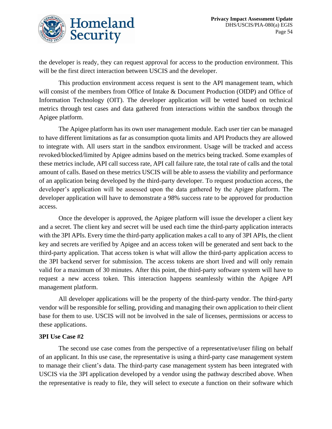

the developer is ready, they can request approval for access to the production environment. This will be the first direct interaction between USCIS and the developer.

This production environment access request is sent to the API management team, which will consist of the members from Office of Intake & Document Production (OIDP) and Office of Information Technology (OIT). The developer application will be vetted based on technical metrics through test cases and data gathered from interactions within the sandbox through the Apigee platform.

The Apigee platform has its own user management module. Each user tier can be managed to have different limitations as far as consumption quota limits and API Products they are allowed to integrate with. All users start in the sandbox environment. Usage will be tracked and access revoked/blocked/limited by Apigee admins based on the metrics being tracked. Some examples of these metrics include, API call success rate, API call failure rate, the total rate of calls and the total amount of calls. Based on these metrics USCIS will be able to assess the viability and performance of an application being developed by the third-party developer. To request production access, the developer's application will be assessed upon the data gathered by the Apigee platform. The developer application will have to demonstrate a 98% success rate to be approved for production access.

Once the developer is approved, the Apigee platform will issue the developer a client key and a secret. The client key and secret will be used each time the third-party application interacts with the 3PI APIs. Every time the third-party application makes a call to any of 3PI APIs, the client key and secrets are verified by Apigee and an access token will be generated and sent back to the third-party application. That access token is what will allow the third-party application access to the 3PI backend server for submission. The access tokens are short lived and will only remain valid for a maximum of 30 minutes. After this point, the third-party software system will have to request a new access token. This interaction happens seamlessly within the Apigee API management platform.

All developer applications will be the property of the third-party vendor. The third-party vendor will be responsible for selling, providing and managing their own application to their client base for them to use. USCIS will not be involved in the sale of licenses, permissions or access to these applications.

### **3PI Use Case #2**

The second use case comes from the perspective of a representative/user filing on behalf of an applicant. In this use case, the representative is using a third-party case management system to manage their client's data. The third-party case management system has been integrated with USCIS via the 3PI application developed by a vendor using the pathway described above. When the representative is ready to file, they will select to execute a function on their software which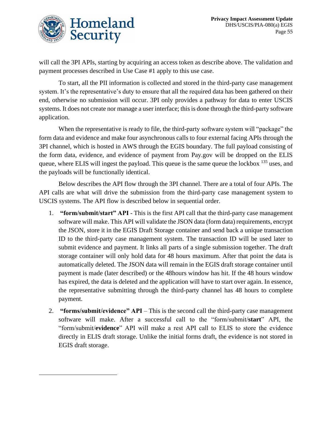

will call the 3PI APIs, starting by acquiring an access token as describe above. The validation and payment processes described in Use Case #1 apply to this use case.

To start, all the PII information is collected and stored in the third-party case management system. It's the representative's duty to ensure that all the required data has been gathered on their end, otherwise no submission will occur. 3PI only provides a pathway for data to enter USCIS systems. It does not create nor manage a user interface; this is done through the third-party software application.

When the representative is ready to file, the third-party software system will "package" the form data and evidence and make four asynchronous calls to four external facing APIs through the 3PI channel, which is hosted in AWS through the EGIS boundary. The full payload consisting of the form data, evidence, and evidence of payment from Pay.gov will be dropped on the ELIS queue, where ELIS will ingest the payload. This queue is the same queue the lockbox <sup>135</sup> uses, and the payloads will be functionally identical.

Below describes the API flow through the 3PI channel. There are a total of four APIs. The API calls are what will drive the submission from the third-party case management system to USCIS systems. The API flow is described below in sequential order.

- 1. **"form/submit/start" API** This is the first API call that the third-party case management software will make. This API will validate the JSON data (form data) requirements, encrypt the JSON, store it in the EGIS Draft Storage container and send back a unique transaction ID to the third-party case management system. The transaction ID will be used later to submit evidence and payment. It links all parts of a single submission together. The draft storage container will only hold data for 48 hours maximum. After that point the data is automatically deleted. The JSON data will remain in the EGIS draft storage container until payment is made (later described) or the 48hours window has hit. If the 48 hours window has expired, the data is deleted and the application will have to start over again. In essence, the representative submitting through the third-party channel has 48 hours to complete payment.
- 2. **"forms/submit/evidence" API** This is the second call the third-party case management software will make. After a successful call to the "form/submit/**start**" API, the "form/submit/**evidence**" API will make a rest API call to ELIS to store the evidence directly in ELIS draft storage. Unlike the initial forms draft, the evidence is not stored in EGIS draft storage.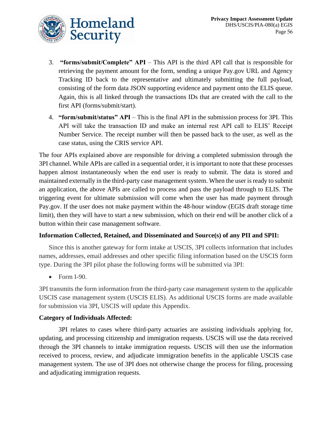

- 3. **"forms/submit/Complete" API** This API is the third API call that is responsible for retrieving the payment amount for the form, sending a unique Pay.gov URL and Agency Tracking ID back to the representative and ultimately submitting the full payload, consisting of the form data JSON supporting evidence and payment onto the ELIS queue. Again, this is all linked through the transactions IDs that are created with the call to the first API (forms/submit/start).
- 4. **"form/submit/status" API** This is the final API in the submission process for 3PI. This API will take the transaction ID and make an internal rest API call to ELIS' Receipt Number Service. The receipt number will then be passed back to the user, as well as the case status, using the CRIS service API.

The four APIs explained above are responsible for driving a completed submission through the 3PI channel. While APIs are called in a sequential order, it is important to note that these processes happen almost instantaneously when the end user is ready to submit. The data is stored and maintained externally in the third-party case management system. When the user is ready to submit an application, the above APIs are called to process and pass the payload through to ELIS. The triggering event for ultimate submission will come when the user has made payment through Pay.gov. If the user does not make payment within the 48-hour window (EGIS draft storage time limit), then they will have to start a new submission, which on their end will be another click of a button within their case management software.

# **Information Collected, Retained, and Disseminated and Source(s) of any PII and SPII:**

Since this is another gateway for form intake at USCIS, 3PI collects information that includes names, addresses, email addresses and other specific filing information based on the USCIS form type. During the 3PI pilot phase the following forms will be submitted via 3PI:

• Form I-90.

3PI transmits the form information from the third-party case management system to the applicable USCIS case management system (USCIS ELIS). As additional USCIS forms are made available for submission via 3PI, USCIS will update this Appendix.

# **Category of Individuals Affected:**

3PI relates to cases where third-party actuaries are assisting individuals applying for, updating, and processing citizenship and immigration requests. USCIS will use the data received through the 3PI channels to intake immigration requests. USCIS will then use the information received to process, review, and adjudicate immigration benefits in the applicable USCIS case management system. The use of 3PI does not otherwise change the process for filing, processing and adjudicating immigration requests.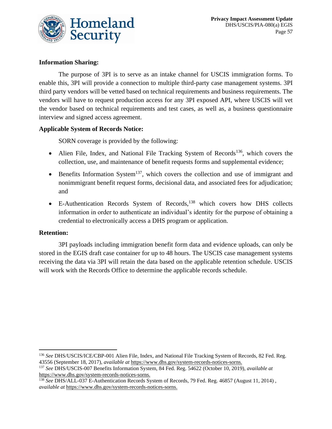

# **Information Sharing:**

The purpose of 3PI is to serve as an intake channel for USCIS immigration forms. To enable this, 3PI will provide a connection to multiple third-party case management systems. 3PI third party vendors will be vetted based on technical requirements and business requirements. The vendors will have to request production access for any 3PI exposed API, where USCIS will vet the vendor based on technical requirements and test cases, as well as, a business questionnaire interview and signed access agreement.

# **Applicable System of Records Notice:**

SORN coverage is provided by the following:

- Alien File, Index, and National File Tracking System of Records<sup>136</sup>, which covers the collection, use, and maintenance of benefit requests forms and supplemental evidence;
- Benefits Information System<sup>137</sup>, which covers the collection and use of immigrant and nonimmigrant benefit request forms, decisional data, and associated fees for adjudication; and
- E-Authentication Records System of Records,<sup>138</sup> which covers how DHS collects information in order to authenticate an individual's identity for the purpose of obtaining a credential to electronically access a DHS program or application.

### **Retention:**

3PI payloads including immigration benefit form data and evidence uploads, can only be stored in the EGIS draft case container for up to 48 hours. The USCIS case management systems receiving the data via 3PI will retain the data based on the applicable retention schedule. USCIS will work with the Records Office to determine the applicable records schedule.

<sup>136</sup> *See* DHS/USCIS/ICE/CBP-001 Alien File, Index, and National File Tracking System of Records, 82 Fed. Reg. 43556 (September 18, 2017), *available at* [https://www.dhs.gov/system-records-notices-sorns.](https://www.dhs.gov/system-records-notices-sorns)

<sup>137</sup> *See* DHS/USCIS-007 Benefits Information System, 84 Fed. Reg. 54622 (October 10, 2019), *available at* [https://www.dhs.gov/system-records-notices-sorns.](https://www.dhs.gov/system-records-notices-sorns)

<sup>138</sup> *See* DHS/ALL-037 E-Authentication Records System of Records, 79 Fed. Reg. 46857 (August 11, 2014) , *available at* [https://www.dhs.gov/system-records-notices-sorns.](https://www.dhs.gov/system-records-notices-sorns)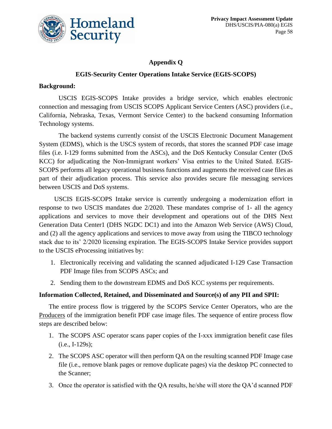

# **Appendix Q**

# **EGIS-Security Center Operations Intake Service (EGIS-SCOPS)**

### **Background:**

USCIS EGIS-SCOPS Intake provides a bridge service, which enables electronic connection and messaging from USCIS SCOPS Applicant Service Centers (ASC) providers (i.e., California, Nebraska, Texas, Vermont Service Center) to the backend consuming Information Technology systems.

The backend systems currently consist of the USCIS Electronic Document Management System (EDMS), which is the USCS system of records, that stores the scanned PDF case image files (i.e. I-129 forms submitted from the ASCs), and the DoS Kentucky Consular Center (DoS KCC) for adjudicating the Non-Immigrant workers' Visa entries to the United Stated. EGIS-SCOPS performs all legacy operational business functions and augments the received case files as part of their adjudication process. This service also provides secure file messaging services between USCIS and DoS systems.

USCIS EGIS-SCOPS Intake service is currently undergoing a modernization effort in response to two USCIS mandates due 2/2020. These mandates comprise of 1- all the agency applications and services to move their development and operations out of the DHS Next Generation Data Center1 (DHS NGDC DC1) and into the Amazon Web Service (AWS) Cloud, and (2) all the agency applications and services to move away from using the TIBCO technology stack due to its' 2/2020 licensing expiration. The EGIS-SCOPS Intake Service provides support to the USCIS eProcessing initiatives by:

- 1. Electronically receiving and validating the scanned adjudicated I-129 Case Transaction PDF Image files from SCOPS ASCs; and
- 2. Sending them to the downstream EDMS and DoS KCC systems per requirements.

### **Information Collected, Retained, and Disseminated and Source(s) of any PII and SPII:**

The entire process flow is triggered by the SCOPS Service Center Operators, who are the Producers of the immigration benefit PDF case image files. The sequence of entire process flow steps are described below:

- 1. The SCOPS ASC operator scans paper copies of the I-xxx immigration benefit case files (i.e., I-129s);
- 2. The SCOPS ASC operator will then perform QA on the resulting scanned PDF Image case file (i.e., remove blank pages or remove duplicate pages) via the desktop PC connected to the Scanner;
- 3. Once the operator is satisfied with the QA results, he/she will store the QA'd scanned PDF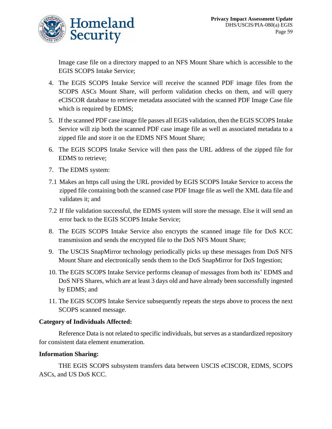

Image case file on a directory mapped to an NFS Mount Share which is accessible to the EGIS SCOPS Intake Service;

- 4. The EGIS SCOPS Intake Service will receive the scanned PDF image files from the SCOPS ASCs Mount Share, will perform validation checks on them, and will query eCISCOR database to retrieve metadata associated with the scanned PDF Image Case file which is required by EDMS;
- 5. If the scanned PDF case image file passes all EGIS validation, then the EGIS SCOPS Intake Service will zip both the scanned PDF case image file as well as associated metadata to a zipped file and store it on the EDMS NFS Mount Share;
- 6. The EGIS SCOPS Intake Service will then pass the URL address of the zipped file for EDMS to retrieve;
- 7. The EDMS system:
- 7.1 Makes an https call using the URL provided by EGIS SCOPS Intake Service to access the zipped file containing both the scanned case PDF Image file as well the XML data file and validates it; and
- 7.2 If file validation successful, the EDMS system will store the message. Else it will send an error back to the EGIS SCOPS Intake Service;
- 8. The EGIS SCOPS Intake Service also encrypts the scanned image file for DoS KCC transmission and sends the encrypted file to the DoS NFS Mount Share;
- 9. The USCIS SnapMirror technology periodically picks up these messages from DoS NFS Mount Share and electronically sends them to the DoS SnapMirror for DoS Ingestion;
- 10. The EGIS SCOPS Intake Service performs cleanup of messages from both its' EDMS and DoS NFS Shares, which are at least 3 days old and have already been successfully ingested by EDMS; and
- 11. The EGIS SCOPS Intake Service subsequently repeats the steps above to process the next SCOPS scanned message.

### **Category of Individuals Affected:**

Reference Data is not related to specific individuals, but serves as a standardized repository for consistent data element enumeration.

### **Information Sharing:**

THE EGIS SCOPS subsystem transfers data between USCIS eCISCOR, EDMS, SCOPS ASCs, and US DoS KCC.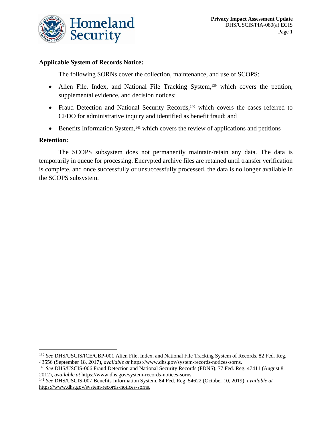

### **Applicable System of Records Notice:**

The following SORNs cover the collection, maintenance, and use of SCOPS:

- Alien File, Index, and National File Tracking System, <sup>139</sup> which covers the petition, supplemental evidence, and decision notices;
- Fraud Detection and National Security Records,<sup>140</sup> which covers the cases referred to CFDO for administrative inquiry and identified as benefit fraud; and
- Benefits Information System,<sup>141</sup> which covers the review of applications and petitions

### **Retention:**

The SCOPS subsystem does not permanently maintain/retain any data. The data is temporarily in queue for processing. Encrypted archive files are retained until transfer verification is complete, and once successfully or unsuccessfully processed, the data is no longer available in the SCOPS subsystem.

<sup>139</sup> *See* DHS/USCIS/ICE/CBP-001 Alien File, Index, and National File Tracking System of Records, 82 Fed. Reg. 43556 (September 18, 2017), *available at* [https://www.dhs.gov/system-records-notices-sorns.](https://www.dhs.gov/system-records-notices-sorns)

<sup>140</sup> *See* DHS/USCIS-006 Fraud Detection and National Security Records (FDNS), 77 Fed. Reg. 47411 (August 8, 2012), *available at* [https://www.dhs.gov/system-records-notices-sorns.](https://www.dhs.gov/system-records-notices-sorns)

<sup>141</sup> *See* DHS/USCIS-007 Benefits Information System, 84 Fed. Reg. 54622 (October 10, 2019), *available at* [https://www.dhs.gov/system-records-notices-sorns.](https://www.dhs.gov/system-records-notices-sorns)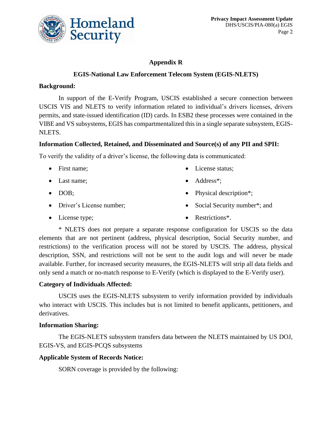

# **Appendix R**

# **EGIS-National Law Enforcement Telecom System (EGIS-NLETS)**

### **Background:**

In support of the E-Verify Program, USCIS established a secure connection between USCIS VIS and NLETS to verify information related to individual's drivers licenses, drivers permits, and state-issued identification (ID) cards. In ESB2 these processes were contained in the VIBE and VS subsystems, EGIS has compartmentalized this in a single separate subsystem, EGIS-NLETS.

### **Information Collected, Retained, and Disseminated and Source(s) of any PII and SPII:**

To verify the validity of a driver's license, the following data is communicated:

- First name;
- Last name;
- DOB;
- Driver's License number;

• License status:

• Restrictions<sup>\*</sup>.

- Address<sup>\*</sup>;
- Physical description<sup>\*</sup>:
- Social Security number\*; and
- License type;

\* NLETS does not prepare a separate response configuration for USCIS so the data elements that are not pertinent (address, physical description, Social Security number, and restrictions) to the verification process will not be stored by USCIS. The address, physical description, SSN, and restrictions will not be sent to the audit logs and will never be made available. Further, for increased security measures, the EGIS-NLETS will strip all data fields and only send a match or no-match response to E-Verify (which is displayed to the E-Verify user).

# **Category of Individuals Affected:**

USCIS uses the EGIS-NLETS subsystem to verify information provided by individuals who interact with USCIS. This includes but is not limited to benefit applicants, petitioners, and derivatives.

### **Information Sharing:**

The EGIS-NLETS subsystem transfers data between the NLETS maintained by US DOJ, EGIS-VS, and EGIS-PCQS subsystems

### **Applicable System of Records Notice:**

SORN coverage is provided by the following: